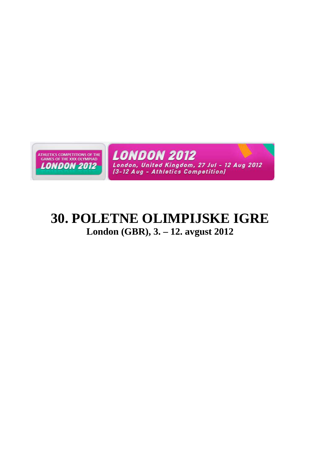

# **30. POLETNE OLIMPIJSKE IGRE London (GBR), 3. – 12. avgust 2012**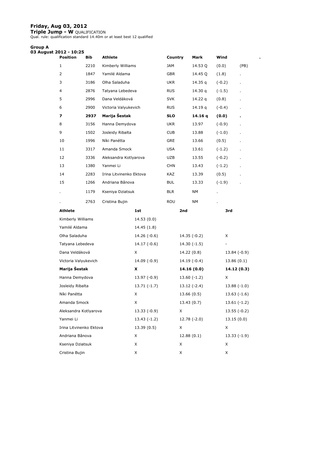#### **Friday, Aug 03, 2012**

**Triple Jump - W** QUALIFICATION Qual. rule: qualification standard 14.40m or at least best 12 qualified.

#### **Group A**

| 03 August 2012 - 10:25 |                         |      |                         |               |            |     |               |          |               |      |
|------------------------|-------------------------|------|-------------------------|---------------|------------|-----|---------------|----------|---------------|------|
|                        | <b>Position</b>         | Bib  | <b>Athlete</b>          |               | Country    |     | Mark          | Wind     |               |      |
|                        | $\mathbf{1}$            | 2210 | Kimberly Williams       |               | JAM        |     | 14.53 Q       | (0.0)    |               | (PB) |
|                        | 2                       | 1847 | Yamilé Aldama           |               | <b>GBR</b> |     | 14.45 Q       | (1.8)    |               |      |
|                        | 3                       | 3186 | Olha Saladuha           |               | <b>UKR</b> |     | 14.35 q       | $(-0.2)$ |               |      |
|                        | 4                       | 2876 | Tatyana Lebedeva        |               | <b>RUS</b> |     | 14.30 q       | $(-1.5)$ |               |      |
|                        | 5                       | 2996 | Dana Veldáková          |               | <b>SVK</b> |     | 14.22 q       | (0.8)    |               |      |
|                        | 6                       | 2900 | Victoria Valyukevich    |               | <b>RUS</b> |     | 14.19 q       | $(-0.4)$ |               |      |
|                        | 7                       | 2937 | Marija Šestak           |               | <b>SLO</b> |     | 14.16 q       | (0.0)    |               |      |
|                        | 8                       | 3156 | Hanna Demydova          |               | <b>UKR</b> |     | 13.97         | $(-0.9)$ |               |      |
|                        | 9                       | 1502 | Josleidy Ribalta        |               | <b>CUB</b> |     | 13.88         | $(-1.0)$ |               |      |
|                        | 10                      | 1996 | Níki Panétta            |               | GRE        |     | 13.66         | (0.5)    |               |      |
|                        | 11                      | 3317 | Amanda Smock            |               | <b>USA</b> |     | 13.61         | $(-1.2)$ |               |      |
|                        | 12                      | 3336 | Aleksandra Kotlyarova   |               | UZB        |     | 13.55         | $(-0.2)$ |               |      |
|                        | 13                      | 1380 | Yanmei Li               |               | <b>CHN</b> |     | 13.43         | $(-1.2)$ |               |      |
|                        | 14                      | 2283 | Irina Litvinenko Ektova |               | KAZ        |     | 13.39         | (0.5)    |               |      |
|                        | 15                      | 1266 | Andriana Bânova         |               | <b>BUL</b> |     | 13.33         | $(-1.9)$ |               |      |
|                        |                         | 1179 | Kseniya Dziatsuk        |               | <b>BLR</b> |     | NΜ            |          |               |      |
|                        |                         | 2763 | Cristina Bujin          |               | ROU        |     | NΜ            |          |               |      |
|                        | <b>Athlete</b>          |      |                         | 1st           |            | 2nd |               |          | 3rd           |      |
|                        | Kimberly Williams       |      |                         | 14.53 (0.0)   |            |     |               |          |               |      |
|                        | Yamilé Aldama           |      |                         | 14.45 (1.8)   |            |     |               |          |               |      |
|                        | Olha Saladuha           |      |                         | $14.26(-0.6)$ |            |     | $14.35(-0.2)$ |          | X             |      |
|                        | Tatyana Lebedeva        |      |                         | $14.17(-0.6)$ |            |     | $14.30(-1.5)$ |          | ۰             |      |
|                        | Dana Veldáková          |      |                         | X             |            |     | 14.22 (0.8)   |          | 13.84 (-0.9)  |      |
|                        | Victoria Valyukevich    |      |                         | $14.09(-0.9)$ |            |     | $14.19(-0.4)$ |          | 13.86 (0.1)   |      |
|                        | Marija Šestak           |      |                         | x             |            |     | 14.16(0.0)    |          | 14.12 (0.3)   |      |
|                        | Hanna Demydova          |      |                         | $13.97(-0.9)$ |            |     | $13.60(-1.2)$ |          | X             |      |
|                        | Josleidy Ribalta        |      |                         | $13.71(-1.7)$ |            |     | $13.12(-2.4)$ |          | $13.88(-1.0)$ |      |
|                        | Níki Panétta            |      |                         | X             |            |     | 13.66 (0.5)   |          | $13.63(-1.6)$ |      |
|                        | Amanda Smock            |      |                         | X             |            |     | 13.43(0.7)    |          | $13.61(-1.2)$ |      |
|                        | Aleksandra Kotlyarova   |      |                         | $13.33(-0.9)$ |            | X   |               |          | $13.55(-0.2)$ |      |
|                        | Yanmei Li               |      |                         | $13.43(-1.2)$ |            |     | 12.78 (-2.0)  |          | 13.15(0.0)    |      |
|                        | Irina Litvinenko Ektova |      |                         | 13.39(0.5)    |            | X   |               |          | X             |      |
|                        | Andriana Bânova         |      |                         | X             |            |     | 12.88(0.1)    |          | $13.33(-1.9)$ |      |
|                        | Kseniya Dziatsuk        |      |                         | X             |            | X   |               |          | X             |      |
|                        | Cristina Bujin          |      |                         | X             |            | X   |               |          | X             |      |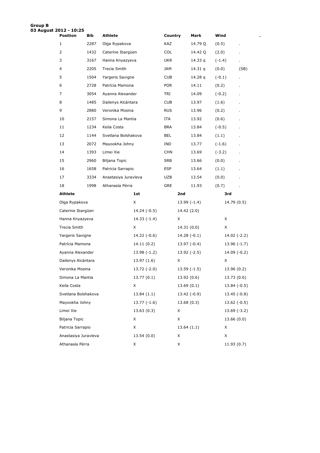| Group B<br>03 August 2012 - 10:25 |                      |      |                      |               |            |               |         |          |               |      |
|-----------------------------------|----------------------|------|----------------------|---------------|------------|---------------|---------|----------|---------------|------|
|                                   | <b>Position</b>      | Bib  | <b>Athlete</b>       |               | Country    |               | Mark    | Wind     |               |      |
|                                   | 1                    | 2287 | Olga Rypakova        |               | KAZ        |               | 14.79 Q | (0.5)    |               |      |
|                                   | $\overline{2}$       | 1432 | Caterine Ibargüen    |               | <b>COL</b> |               | 14.42 Q | (2.0)    |               |      |
|                                   | 3                    | 3167 | Hanna Knyazyeva      |               | <b>UKR</b> |               | 14.33 q | $(-1.4)$ | ä,            |      |
|                                   | 4                    | 2205 | Trecia Smith         |               | JAM        |               | 14.31 q | (0.0)    |               | (SB) |
|                                   | 5                    | 1504 | Yargeris Savigne     |               | CUB        |               | 14.28 q | $(-0.1)$ |               |      |
|                                   | 6                    | 2728 | Patrícia Mamona      |               | <b>POR</b> |               | 14.11   | (0.2)    |               |      |
|                                   | 7                    | 3054 | Ayanna Alexander     |               | TRI        |               | 14.09   | $(-0.2)$ |               |      |
|                                   | 8                    | 1485 | Dailenys Alcántara   |               | CUB        |               | 13.97   | (1.6)    |               |      |
|                                   | 9                    | 2880 | Veronika Mosina      |               | <b>RUS</b> |               | 13.96   | (0.2)    |               |      |
|                                   | 10                   | 2157 | Simona La Mantia     |               | ITA        |               | 13.92   | (0.6)    |               |      |
|                                   | 11                   | 1234 | Keila Costa          |               | <b>BRA</b> |               | 13.84   | $(-0.5)$ |               |      |
|                                   | 12                   | 1144 | Svetlana Bolshakova  |               | <b>BEL</b> |               | 13.84   | (1.1)    |               |      |
|                                   | 13                   | 2072 | Mayookha Johny       |               | IND        |               | 13.77   | $(-1.6)$ |               |      |
|                                   | 14                   | 1393 | Limei Xie            |               | <b>CHN</b> |               | 13.69   | $(-3.2)$ |               |      |
|                                   | 15                   | 2960 | Biljana Topic        |               | SRB        |               | 13.66   | (0.0)    |               |      |
|                                   | 16                   | 1658 | Patricia Sarrapio    |               | ESP        |               | 13.64   | (1.1)    |               |      |
|                                   | 17                   | 3334 | Anastasiya Juravleva |               | UZB        |               | 13.54   | (0.0)    |               |      |
|                                   | 18                   | 1998 | Athanasía Pérra      |               | <b>GRE</b> |               | 11.93   | (0.7)    |               |      |
|                                   | <b>Athlete</b>       |      |                      | 1st           |            | 2nd           |         |          | 3rd           |      |
|                                   | Olga Rypakova        |      |                      | X             |            | $13.99(-1.4)$ |         |          | 14.79 (0.5)   |      |
|                                   | Caterine Ibargüen    |      |                      | $14.24(-0.5)$ |            | 14.42 (2.0)   |         |          |               |      |
|                                   | Hanna Knyazyeva      |      |                      | $14.33(-1.4)$ |            | X             |         | X        |               |      |
|                                   | Trecia Smith         |      |                      | X             |            | 14.31 (0.0)   |         | X        |               |      |
|                                   | Yargeris Savigne     |      |                      | $14.22(-0.6)$ |            | $14.28(-0.1)$ |         |          | $14.02(-2.2)$ |      |
|                                   | Patrícia Mamona      |      |                      | 14.11 (0.2)   |            | $13.97(-0.4)$ |         |          | $13.96(-1.7)$ |      |
|                                   | Ayanna Alexander     |      |                      | $13.98(-1.2)$ |            | $13.92(-2.5)$ |         |          | $14.09(-0.2)$ |      |
|                                   | Dailenys Alcántara   |      |                      | 13.97 (1.6)   |            | X             |         | X        |               |      |
|                                   | Veronika Mosina      |      |                      | $13.72(-2.0)$ |            | $13.59(-1.5)$ |         |          | 13.96 (0.2)   |      |
|                                   | Simona La Mantia     |      |                      | 13.77(0.1)    |            | 13.92 (0.6)   |         |          | 13.73(0.6)    |      |
|                                   | Keila Costa          |      |                      | X             |            | 13.69(0.1)    |         |          | $13.84(-0.5)$ |      |
|                                   | Svetlana Bolshakova  |      |                      | 13.84(1.1)    |            | $13.42(-0.9)$ |         |          | $13.45(-0.8)$ |      |
|                                   | Mayookha Johny       |      |                      | $13.77(-1.6)$ |            | 13.68(0.3)    |         |          | $13.62(-0.5)$ |      |
|                                   | Limei Xie            |      |                      | 13.63(0.3)    |            | X             |         |          | $13.69(-3.2)$ |      |
|                                   | <b>Biljana Topic</b> |      |                      | X             |            | X             |         |          | 13.66(0.0)    |      |
|                                   | Patricia Sarrapio    |      |                      | X             |            | 13.64(1.1)    |         | X        |               |      |
|                                   | Anastasiya Juravleva |      |                      | 13.54(0.0)    |            | X             |         | X        |               |      |
|                                   | Athanasía Pérra      |      |                      | Χ             |            | X             |         |          | 11.93 (0.7)   |      |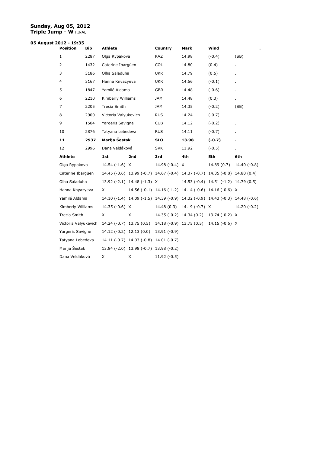#### **Sunday, Aug 05, 2012 Triple Jump - W** FINAL

# **05 August 2012 - 19:35**

| Position             | <b>Bib</b> | <b>Athlete</b>               |                                        | Country                   | Mark                                                                          | Wind                                  |               |
|----------------------|------------|------------------------------|----------------------------------------|---------------------------|-------------------------------------------------------------------------------|---------------------------------------|---------------|
| $\mathbf{1}$         | 2287       | Olga Rypakova                |                                        | KAZ                       | 14.98                                                                         | $(-0.4)$                              | (SB)          |
| 2                    | 1432       | Caterine Ibargüen            |                                        | COL                       | 14.80                                                                         | (0.4)                                 |               |
| 3                    | 3186       | Olha Saladuha                |                                        | <b>UKR</b>                | 14.79                                                                         | (0.5)                                 |               |
| 4                    | 3167       | Hanna Knyazyeva              |                                        | <b>UKR</b>                | 14.56                                                                         | $(-0.1)$                              |               |
| 5                    | 1847       | Yamilé Aldama                |                                        | <b>GBR</b>                | 14.48                                                                         | $(-0.6)$                              |               |
| 6                    | 2210       | Kimberly Williams            |                                        | <b>JAM</b>                | 14.48                                                                         | (0.3)                                 | ×.            |
| 7                    | 2205       | Trecia Smith                 |                                        | <b>JAM</b>                | 14.35                                                                         | $(-0.2)$                              | (SB)          |
| 8                    | 2900       | Victoria Valyukevich         |                                        | <b>RUS</b>                | 14.24                                                                         | $(-0.7)$                              |               |
| 9                    | 1504       | Yargeris Savigne             |                                        | <b>CUB</b>                | 14.12                                                                         | $(-0.2)$                              |               |
| 10                   | 2876       | Tatyana Lebedeva             |                                        | <b>RUS</b>                | 14.11                                                                         | $(-0.7)$                              |               |
| 11                   | 2937       | Marija Šestak                |                                        | <b>SLO</b>                | 13.98                                                                         | $(-0.7)$                              |               |
| 12                   | 2996       | Dana Veldáková               |                                        | <b>SVK</b>                | 11.92                                                                         | $(-0.5)$                              |               |
|                      |            |                              |                                        |                           |                                                                               |                                       |               |
| <b>Athlete</b>       |            | 1st                          | 2nd                                    | 3rd                       | 4th                                                                           | 5th                                   | 6th           |
| Olga Rypakova        |            | 14.54 (-1.6) X               |                                        | 14.98 $(-0.4)$ X          |                                                                               | 14.89(0.7)                            | $14.40(-0.8)$ |
| Caterine Ibargüen    |            |                              |                                        |                           | 14.45 (-0.6) 13.99 (-0.7) 14.67 (-0.4) 14.37 (-0.7) 14.35 (-0.8) 14.80 (0.4)  |                                       |               |
| Olha Saladuha        |            |                              | 13.92 (-2.1) 14.48 (-1.3) X            |                           |                                                                               | 14.53 (-0.4) 14.51 (-1.2) 14.79 (0.5) |               |
| Hanna Knyazyeva      |            | X                            |                                        |                           | 14.56 (-0.1) 14.16 (-1.2) 14.14 (-0.6) 14.16 (-0.6) X                         |                                       |               |
| Yamilé Aldama        |            |                              |                                        |                           | 14.10 (-1.4) 14.09 (-1.5) 14.39 (-0.9) 14.32 (-0.9) 14.43 (-0.3) 14.48 (-0.6) |                                       |               |
| Kimberly Williams    |            | $14.35(-0.6)$ X              |                                        |                           | 14.48 (0.3) 14.19 (-0.7) X                                                    |                                       | $14.20(-0.2)$ |
| Trecia Smith         |            | X                            | X                                      | $14.35(-0.2)$ 14.34 (0.2) |                                                                               | 13.74 (-0.2) X                        |               |
| Victoria Valyukevich |            | $14.24$ (-0.7) $13.75$ (0.5) |                                        | $14.18(-0.9)$ 13.75 (0.5) |                                                                               | $14.15(-0.6)$ X                       |               |
| Yargeris Savigne     |            |                              | $14.12(-0.2)$ 12.13 $(0.0)$            | $13.91(-0.9)$             |                                                                               |                                       |               |
| Tatyana Lebedeva     |            |                              | 14.11 (-0.7) 14.03 (-0.8) 14.01 (-0.7) |                           |                                                                               |                                       |               |
| Marija Šestak        |            |                              | 13.84 (-2.0) 13.98 (-0.7) 13.98 (-0.2) |                           |                                                                               |                                       |               |
| Dana Veldáková       |            | X                            | X                                      | $11.92(-0.5)$             |                                                                               |                                       |               |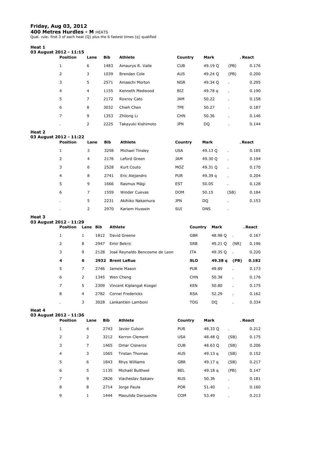# **Friday, Aug 03, 2012**

**400 Metres Hurdles - M** HEATS<br>Qual. rule: first 3 of each heat (Q) plus the 6 fastest times (q) qualified

#### **Heat 1**

| 03 August 2012 - 11:15 |                |            |                     |            |         |                |       |
|------------------------|----------------|------------|---------------------|------------|---------|----------------|-------|
| <b>Position</b>        | Lane           | <b>Bib</b> | <b>Athlete</b>      | Country    | Mark    | . React        |       |
| 1                      | 6              | 1483       | Amaurys R. Valle    | <b>CUB</b> | 49.19 O | (PB)           | 0.176 |
| 2                      | 3              | 1039       | <b>Brendan Cole</b> | <b>AUS</b> | 49.24 Q | (PB)           | 0.200 |
| 3                      | 5              | 2571       | Amaechi Morton      | <b>NGR</b> | 49.34 Q | ٠              | 0.295 |
| $\overline{4}$         | $\overline{4}$ | 1155       | Kenneth Medwood     | <b>BIZ</b> | 49.78 g | $\blacksquare$ | 0.190 |
| 5                      | 7              | 2172       | Roxroy Cato         | <b>JAM</b> | 50.22   | $\blacksquare$ | 0.158 |
| 6                      | 8              | 3032       | Chieh Chen          | <b>TPE</b> | 50.27   | ٠              | 0.187 |
| 7                      | 9              | 1353       | Zhilong Li          | <b>CHN</b> | 50.36   | $\blacksquare$ | 0.146 |
| $\blacksquare$         | 2              | 2225       | Takayuki Kishimoto  | <b>JPN</b> | DO      | ٠              | 0.144 |

# **Heat 2**

| leat 2 | 3 August 2012 - 11:22 |      |            |                      |            |            |                |         |
|--------|-----------------------|------|------------|----------------------|------------|------------|----------------|---------|
|        | <b>Position</b>       | Lane | <b>Bib</b> | <b>Athlete</b>       | Country    | Mark       |                | . React |
|        | 1                     | 3    | 3258       | Michael Tinsley      | <b>USA</b> | 49.13 Q    |                | 0.185   |
|        | 2                     | 4    | 2176       | Leford Green         | <b>JAM</b> | 49.30 Q    |                | 0.194   |
|        | 3                     | 6    | 2528       | Kurt Couto           | <b>MOZ</b> | 49.31 Q    | $\blacksquare$ | 0.170   |
|        | $\overline{4}$        | 8    | 2741       | Eric Alejandro       | <b>PUR</b> | 49.39 g    |                | 0.204   |
|        | 5                     | 9    | 1666       | Rasmus Mägi          | <b>EST</b> | 50.05      |                | 0.128   |
|        | 6                     | 7    | 1559       | <b>Winder Cuevas</b> | <b>DOM</b> | 50.15      | (SB)           | 0.184   |
|        | $\blacksquare$        | 5    | 2231       | Akihiko Nakamura     | <b>JPN</b> | DO.        | $\blacksquare$ | 0.153   |
|        | $\blacksquare$        | 2    | 2970       | Kariem Hussein       | <b>SUI</b> | <b>DNS</b> | $\cdot$        |         |

# **Heat 3**

| 03 August 2012 - 11:29 |  |  |
|------------------------|--|--|
|------------------------|--|--|

| <b>Position</b> | Lane Bib       |      | <b>Athlete</b>                 | Country    | Mark    |              | . React |
|-----------------|----------------|------|--------------------------------|------------|---------|--------------|---------|
| 1               |                | 1812 | David Greene                   | <b>GBR</b> | 48.98 O | $\mathbf{r}$ | 0.167   |
| 2               | 8              | 2947 | Emir Bekric                    | <b>SRB</b> | 49.21 Q | (NR)         | 0.196   |
| 3               | 9              | 2128 | José Reynaldo Bencosme de Leon | <b>ITA</b> | 49.35 Q | $\mathbf{r}$ | 0.220   |
| 4               | 6              |      | 2932 Brent LaRue               | <b>SLO</b> | 49.38 g | (PB)         | 0.182   |
| 5               | $\overline{7}$ | 2746 | Jamele Mason                   | <b>PUR</b> | 49.89   | $\mathbf{r}$ | 0.173   |
| 6               | 2              | 1345 | Wen Cheng                      | <b>CHN</b> | 50.38   | $\mathbf{r}$ | 0.176   |
| 7               | 5              | 2309 | Vincent Kiplangat Kosgei       | <b>KEN</b> | 50.80   | $\mathbf{r}$ | 0.175   |
| 8               | 4              | 2782 | <b>Cornel Fredericks</b>       | <b>RSA</b> | 52.29   | $\mathbf{r}$ | 0.162   |
| ٠               | 3              | 3028 | Lankantien Lamboni             | <b>TOG</b> | DQ      | ٠            | 0.334   |

#### **Heat 4**

**03 August 2012 - 11:36** 

| <b>Position</b> | Lane           | Bib  | Athlete               | Country    | Mark      |                          | . React |
|-----------------|----------------|------|-----------------------|------------|-----------|--------------------------|---------|
| 1               | $\overline{4}$ | 2743 | Javier Culson         | <b>PUR</b> | 48.33 O   | $\mathbf{r}$             | 0.212   |
| 2               | 2              | 3212 | Kerron Clement        | <b>USA</b> | 48.48 Q   | (SB)                     | 0.175   |
| 3               | 7              | 1465 | <b>Omar Cisneros</b>  | <b>CUB</b> | 48.63 Q   | (SB)                     | 0.206   |
| $\overline{4}$  | 3              | 1065 | <b>Tristan Thomas</b> | <b>AUS</b> | 49.13 g   | (SB)                     | 0.152   |
| 5               | 6              | 1843 | Rhys Williams         | <b>GBR</b> | 49.17 g   | (SB)                     | 0.217   |
| 6               | 5              | 1135 | Michaël Bultheel      | <b>BEL</b> | 49.18 $q$ | (PB)                     | 0.147   |
| 7               | 9              | 2826 | Viacheslav Sakaev     | <b>RUS</b> | 50.36     |                          | 0.181   |
| 8               | 8              | 2714 | Jorge Paula           | <b>POR</b> | 51.40     | $\mathbf{r}$             | 0.160   |
| 9               | 1              | 1444 | Maoulida Daroueche    | <b>COM</b> | 53.49     | $\overline{\phantom{a}}$ | 0.213   |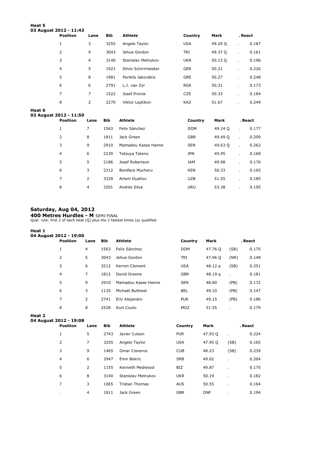#### **Heat 5 03 August 2012 - 11:43**

| --- | <b>Position</b> | Lane           | <b>Bib</b> | <b>Athlete</b>       | Country    | Mark    | . React |       |
|-----|-----------------|----------------|------------|----------------------|------------|---------|---------|-------|
|     | $\mathbf{1}$    | 3              | 3255       | Angelo Taylor        | <b>USA</b> | 49.29 O |         | 0.187 |
|     | 2               | 9              | 3043       | Jehue Gordon         | <b>TRI</b> | 49.37 O |         | 0.161 |
|     | 3               | $\overline{4}$ | 3140       | Stanislav Melnykov   | <b>UKR</b> | 50.13 Q |         | 0.196 |
|     | $\overline{4}$  | 5              | 1921       | Silvio Schirrmeister | <b>GER</b> | 50.21   |         | 0.226 |
|     | 5               | 8              | 1981       | Periklís Iakovákis   | <b>GRE</b> | 50.27   |         | 0.248 |
|     | 6               | 6              | 2791       | L.J. van Zyl         | <b>RSA</b> | 50.31   |         | 0.173 |
|     | 7               | 7              | 1522       | Josef Prorok         | <b>CZE</b> | 50.33   |         | 0.184 |
|     | 8               | 2              | 2270       | Viktor Leptikov      | <b>KAZ</b> | 51.67   |         | 0.249 |

#### **Heat 6**

# **03 August 2012 - 11:50**

| <b>Position</b> | Lane           | <b>Bib</b> | <b>Athlete</b>      | Country    | Mark    | . React      |       |
|-----------------|----------------|------------|---------------------|------------|---------|--------------|-------|
| 1               | 7              | 1563       | Felix Sánchez       | <b>DOM</b> | 49.24 O | $\mathbf{r}$ | 0.177 |
| 2               | 8              | 1811       | Jack Green          | <b>GBR</b> | 49.49 O | $\mathbf{r}$ | 0.209 |
| 3               | 9              | 2910       | Mamadou Kasse Hanne | <b>SEN</b> | 49.63 O | $\mathbf{r}$ | 0.262 |
| $\overline{4}$  | 6              | 2239       | Tetsuya Tateno      | <b>JPN</b> | 49.95   | $\mathbf{r}$ | 0.168 |
| 5               | 5              | 2186       | Josef Robertson     | <b>JAM</b> | 49.98   | $\mathbf{r}$ | 0.176 |
| 6               | 3              | 2312       | Boniface Mucheru    | <b>KEN</b> | 50.33   |              | 0.165 |
| 7               | 2              | 3329       | Artem Dyatlov       | <b>UZB</b> | 51.55   | $\mathbf{r}$ | 0.185 |
| 8               | $\overline{4}$ | 3201       | Andrés Silva        | <b>URU</b> | 53.38   |              | 0.195 |

# **Saturday, Aug 04, 2012**

**400 Metres Hurdles - M** SEMI-FINAL<br>Qual. rule: first 2 of each heat (Q) plus the 2 fastest times (q) qualified

#### **Heat 1**

| 04 August 2012 - 19:00 |                |            |                     |            |         |      |         |  |  |  |  |
|------------------------|----------------|------------|---------------------|------------|---------|------|---------|--|--|--|--|
| <b>Position</b>        | Lane           | <b>Bib</b> | Athlete             | Country    | Mark    |      | . React |  |  |  |  |
| 1                      | 4              | 1563       | Felix Sánchez       | <b>DOM</b> | 47.76 O | (SB) | 0.175   |  |  |  |  |
| 2                      | 5              | 3043       | Jehue Gordon        | TRI        | 47.96 Q | (NR) | 0.148   |  |  |  |  |
| 3                      | 6              | 3212       | Kerron Clement      | <b>USA</b> | 48.12 g | (SB) | 0.251   |  |  |  |  |
| $\overline{4}$         | 7              | 1812       | David Greene        | <b>GBR</b> | 48.19 a |      | 0.181   |  |  |  |  |
| 5                      | 9              | 2910       | Mamadou Kasse Hanne | <b>SEN</b> | 48.80   | (PB) | 0.172   |  |  |  |  |
| 6                      | 3              | 1135       | Michaël Bultheel    | <b>BEL</b> | 49.10   | (PB) | 0.147   |  |  |  |  |
| 7                      | $\overline{2}$ | 2741       | Eric Alejandro      | <b>PUR</b> | 49.15   | (PB) | 0.186   |  |  |  |  |
| 8                      | 8              | 2528       | Kurt Couto          | MOZ        | 51.55   |      | 0.179   |  |  |  |  |

**Heat 2 04 August 2012 - 19:08** 

| <b>Position</b> | Lane           | <b>Bib</b> | <b>Athlete</b>        | Country    | Mark       |      | . React |
|-----------------|----------------|------------|-----------------------|------------|------------|------|---------|
| 1               | 5              | 2743       | Javier Culson         | <b>PUR</b> | 47.93 O    | ×    | 0.224   |
| 2               | 7              | 3255       | Angelo Taylor         | <b>USA</b> | 47.95 O    | (SB) | 0.165   |
| 3               | 9              | 1465       | <b>Omar Cisneros</b>  | <b>CUB</b> | 48.23      | (SB) | 0.239   |
| $\overline{4}$  | 6              | 2947       | Emir Bekric           | <b>SRB</b> | 49.62      | ٠    | 0.204   |
| 5               | $\overline{2}$ | 1155       | Kenneth Medwood       | <b>BIZ</b> | 49.87      | ٠    | 0.175   |
| 6               | 8              | 3140       | Stanislav Melnykov    | <b>UKR</b> | 50.19      | ×    | 0.182   |
| 7               | 3              | 1065       | <b>Tristan Thomas</b> | <b>AUS</b> | 50.55      |      | 0.164   |
|                 | $\overline{4}$ | 1811       | Jack Green            | <b>GBR</b> | <b>DNF</b> |      | 0.194   |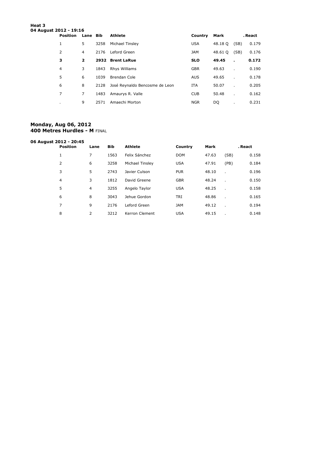# **Heat 3 04 August 2012 - 19:16 Position Lane Bib Athlete Country Mark . React** 5 3258 Michael Tinsley USA 48.18 Q (SB) 0.179 4 2176 Leford Green JAM 48.61 Q (SB) 0.176 **2 2932 Brent LaRue SLO 49.45 . 0.172** 3 1843 Rhys Williams GBR 49.63 . 0.190

| 5              | 6              | 1039 | Brendan Cole                        | <b>AUS</b> | 49.65 | $\mathbf{r}$ | 0.178 |
|----------------|----------------|------|-------------------------------------|------------|-------|--------------|-------|
| 6              | 8              |      | 2128 José Reynaldo Bencosme de Leon | <b>ITA</b> | 50.07 |              | 0.205 |
|                | $\overline{7}$ |      | 1483 Amaurys R. Valle               | <b>CUB</b> | 50.48 | $\mathbf{r}$ | 0.162 |
| $\blacksquare$ | 9              | 2571 | Amaechi Morton                      | <b>NGR</b> | DO.   | $\sim$       | 0.231 |
|                |                |      |                                     |            |       |              |       |

#### **Monday, Aug 06, 2012 400 Metres Hurdles - M** FINAL

| 06 August 2012 - 20:45 |                 |      |            |                 |            |       |         |       |
|------------------------|-----------------|------|------------|-----------------|------------|-------|---------|-------|
|                        | <b>Position</b> | Lane | <b>Bib</b> | <b>Athlete</b>  | Country    | Mark  | . React |       |
|                        | $\mathbf{1}$    | 7    | 1563       | Felix Sánchez   | <b>DOM</b> | 47.63 | (SB)    | 0.158 |
|                        | 2               | 6    | 3258       | Michael Tinsley | <b>USA</b> | 47.91 | (PB)    | 0.184 |
|                        | 3               | 5    | 2743       | Javier Culson   | <b>PUR</b> | 48.10 |         | 0.196 |
|                        | $\overline{4}$  | 3    | 1812       | David Greene    | <b>GBR</b> | 48.24 |         | 0.150 |
|                        | 5               | 4    | 3255       | Angelo Taylor   | <b>USA</b> | 48.25 |         | 0.158 |
|                        | 6               | 8    | 3043       | Jehue Gordon    | <b>TRI</b> | 48.86 |         | 0.165 |
|                        | 7               | 9    | 2176       | Leford Green    | <b>JAM</b> | 49.12 |         | 0.194 |
|                        | 8               | 2    | 3212       | Kerron Clement  | <b>USA</b> | 49.15 |         | 0.148 |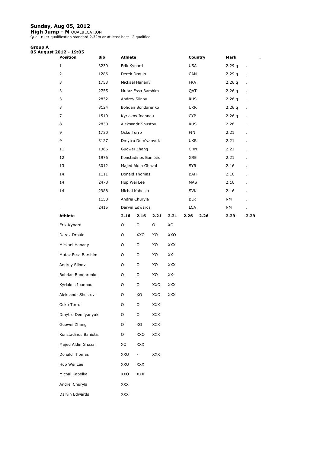#### **Sunday, Aug 05, 2012**

**High Jump - M** QUALIFICATION Qual. rule: qualification standard 2.32m or at least best 12 qualified.

#### **Group A 05 August 2012 - 19:05**

| Position             | Bib  | <b>Athlete</b> |                        |            |            |                          | Country | Mark       | ٠            |
|----------------------|------|----------------|------------------------|------------|------------|--------------------------|---------|------------|--------------|
| $\mathbf{1}$         | 3230 | Erik Kynard    |                        |            |            | <b>USA</b>               |         | 2.29q      | ä,           |
| $\overline{2}$       | 1286 | Derek Drouin   |                        |            |            | CAN                      |         | 2.29q      | ä,           |
| 3                    | 1753 |                | Mickael Hanany         |            |            | <b>FRA</b>               |         | 2.26q      |              |
| 3                    | 2755 |                | Mutaz Essa Barshim     |            |            | QAT                      |         | 2.26q      | ä,           |
| 3                    | 2832 | Andrey Silnov  |                        |            |            | <b>RUS</b>               |         | 2.26q      | ä,           |
| 3                    | 3124 |                | Bohdan Bondarenko      |            |            | <b>UKR</b>               |         | 2.26q      |              |
| 7                    | 1510 |                | Kyriakos Ioannou       |            |            | <b>CYP</b>               |         | 2.26q      |              |
| 8                    | 2830 |                | Aleksandr Shustov      |            |            | <b>RUS</b>               |         | 2.26       | $\mathbf{r}$ |
| 9                    | 1730 | Osku Torro     |                        |            |            | FIN                      |         | 2.21       |              |
| 9                    | 3127 |                | Dmytro Dem'yanyuk      |            |            | <b>UKR</b>               |         | 2.21       |              |
| 11                   | 1366 |                | Guowei Zhang           |            |            | <b>CHN</b>               |         | 2.21       |              |
| 12                   | 1976 |                | Konstadínos Baniótis   |            |            | GRE                      |         | 2.21       |              |
| 13                   | 3012 |                | Majed Aldin Ghazal     |            |            | <b>SYR</b>               |         | 2.16       |              |
| 14                   | 1111 |                | Donald Thomas          |            |            | BAH                      |         | 2.16       |              |
| 14                   | 2478 | Hup Wei Lee    |                        |            |            | MAS                      |         | 2.16       |              |
| 14                   | 2988 |                | Michal Kabelka         |            |            | <b>SVK</b>               |         | 2.16       |              |
|                      | 1158 |                | Andrei Churyla         |            |            | <b>BLR</b><br><b>LCA</b> |         | NΜ         |              |
| <b>Athlete</b>       | 2415 | 2.16           | Darvin Edwards<br>2.16 | 2.21       | 2.21       | 2.26                     | 2.26    | NΜ<br>2.29 | 2.29         |
| Erik Kynard          |      | O              | O                      | O          | XO         |                          |         |            |              |
| Derek Drouin         |      | O              | XXO                    | XO         | XXO        |                          |         |            |              |
| Mickael Hanany       |      | O              | O                      | XO         | <b>XXX</b> |                          |         |            |              |
| Mutaz Essa Barshim   |      | O              | O                      | XO         | XX-        |                          |         |            |              |
| Andrey Silnov        |      | O              | O                      | XO         | XXX        |                          |         |            |              |
| Bohdan Bondarenko    |      | O              | O                      | XO         | XX-        |                          |         |            |              |
| Kyriakos Ioannou     |      | O              | O                      | XXO        | <b>XXX</b> |                          |         |            |              |
| Aleksandr Shustov    |      | O              | XO                     | XXO        | XXX        |                          |         |            |              |
| Osku Torro           |      | O              | O                      | XXX        |            |                          |         |            |              |
| Dmytro Dem'yanyuk    |      | O              | O                      | XXX        |            |                          |         |            |              |
| Guowei Zhang         |      | O              | XO                     | XXX        |            |                          |         |            |              |
| Konstadínos Baniótis |      | O              | XXO                    | XXX        |            |                          |         |            |              |
| Majed Aldin Ghazal   |      | XO             | <b>XXX</b>             |            |            |                          |         |            |              |
| Donald Thomas        |      | XXO            | $\blacksquare$         | <b>XXX</b> |            |                          |         |            |              |
| Hup Wei Lee          |      | XXO            | XXX                    |            |            |                          |         |            |              |
| Michal Kabelka       |      | XXO            | XXX                    |            |            |                          |         |            |              |
| Andrei Churyla       |      | XXX            |                        |            |            |                          |         |            |              |
| Darvin Edwards       |      | XXX            |                        |            |            |                          |         |            |              |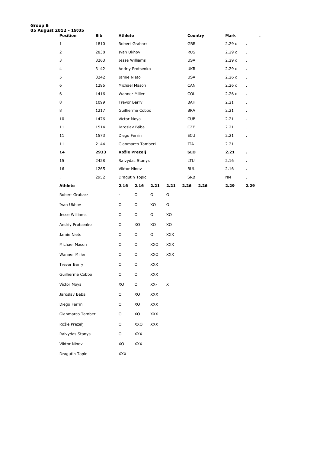| <b>Group B</b><br>05 August 2012 - 19:05 |                   |      |                     |                   |                |             |            |         |        |                          |
|------------------------------------------|-------------------|------|---------------------|-------------------|----------------|-------------|------------|---------|--------|--------------------------|
|                                          | <b>Position</b>   | Bib  | <b>Athlete</b>      |                   |                |             |            | Country | Mark   |                          |
|                                          | $\mathbf{1}$      | 1810 |                     | Robert Grabarz    |                |             | <b>GBR</b> |         | 2.29q  | $\overline{\phantom{a}}$ |
|                                          | $\overline{2}$    | 2838 | Ivan Ukhov          |                   |                |             | <b>RUS</b> |         | 2.29 q | ä,                       |
|                                          | 3                 | 3263 | Jesse Williams      |                   |                |             | USA        |         | 2.29 q | ä,                       |
|                                          | 4                 | 3142 |                     | Andriy Protsenko  |                |             | <b>UKR</b> |         | 2.29 q |                          |
|                                          | 5                 | 3242 | Jamie Nieto         |                   |                |             | <b>USA</b> |         | 2.26q  | $\ddot{\phantom{0}}$     |
|                                          | 6                 | 1295 | Michael Mason       |                   |                |             | CAN        |         | 2.26q  | ä,                       |
|                                          | 6                 | 1416 | Wanner Miller       |                   |                |             | <b>COL</b> |         | 2.26 q | ä,                       |
|                                          | 8                 | 1099 | <b>Trevor Barry</b> |                   |                |             | BAH        |         | 2.21   |                          |
|                                          | 8                 | 1217 |                     | Guilherme Cobbo   |                |             | <b>BRA</b> |         | 2.21   |                          |
|                                          | 10                | 1476 | Víctor Moya         |                   |                |             | <b>CUB</b> |         | 2.21   |                          |
|                                          | 11                | 1514 | Jaroslav Bába       |                   |                |             | CZE        |         | 2.21   |                          |
|                                          | 11                | 1573 | Diego Ferrín        |                   |                |             | ECU        |         | 2.21   | Ĭ.                       |
|                                          | 11                | 2144 |                     | Gianmarco Tamberi |                |             | ITA        |         | 2.21   | $\mathbf{r}$             |
|                                          | 14                | 2933 | Rožle Prezelj       |                   |                |             | <b>SLO</b> |         | 2.21   | ٠                        |
|                                          | 15                | 2428 |                     | Raivydas Stanys   |                |             | LTU        |         | 2.16   |                          |
|                                          | 16                | 1265 | Viktor Ninov        |                   |                |             | <b>BUL</b> |         | 2.16   |                          |
|                                          |                   | 2952 | Dragutin Topic      |                   |                |             | <b>SRB</b> |         | NΜ     |                          |
|                                          | Athlete           |      | 2.16                | 2.16              | 2.21           | 2.21        | 2.26       | 2.26    | 2.29   | 2.29                     |
|                                          | Robert Grabarz    |      | $\sim$              | O                 | O              | $\mathsf O$ |            |         |        |                          |
|                                          | Ivan Ukhov        |      | O                   | O                 | XO             | O           |            |         |        |                          |
|                                          | Jesse Williams    |      | O                   | O                 | O              | XO          |            |         |        |                          |
|                                          | Andriy Protsenko  |      | 0                   | XO                | XO             | XO          |            |         |        |                          |
|                                          | Jamie Nieto       |      | O                   | O                 | $\circ$        | <b>XXX</b>  |            |         |        |                          |
|                                          | Michael Mason     |      | 0                   | O                 | XXO            | <b>XXX</b>  |            |         |        |                          |
|                                          | Wanner Miller     |      | O                   | O                 | XXO            | <b>XXX</b>  |            |         |        |                          |
|                                          | Trevor Barry      |      | O                   | O                 | XXX            |             |            |         |        |                          |
|                                          | Guilherme Cobbo   |      | O                   | $\mathsf O$       | <b>XXX</b>     |             |            |         |        |                          |
|                                          | Víctor Moya       |      | XO                  | $\mathsf O$       | XX-            | X           |            |         |        |                          |
|                                          | Jaroslav Bába     |      | O                   | XO                | $\mathsf{XXX}$ |             |            |         |        |                          |
|                                          | Diego Ferrín      |      | O                   | XO                | $\mathsf{XXX}$ |             |            |         |        |                          |
|                                          | Gianmarco Tamberi |      | O                   | XO                | $\mathsf{XXX}$ |             |            |         |        |                          |
|                                          | Rožle Prezelj     |      | O                   | XXO               | $\mathsf{XXX}$ |             |            |         |        |                          |
|                                          | Raivydas Stanys   |      | O                   | XXX               |                |             |            |         |        |                          |
|                                          | Viktor Ninov      |      | XO                  | XXX               |                |             |            |         |        |                          |

Dragutin Topic XXX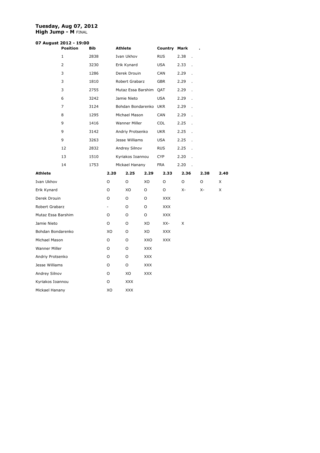#### **Tuesday, Aug 07, 2012 High Jump - M** FINAL

# **07 August 2012 - 19:00**

|                      | <b>Position</b> | Bib  |                          | <b>Athlete</b>         |            | Country    | Mark |                          |      |      |
|----------------------|-----------------|------|--------------------------|------------------------|------------|------------|------|--------------------------|------|------|
|                      | 1               | 2838 |                          | Ivan Ukhov             |            | <b>RUS</b> | 2.38 | $\overline{a}$           |      |      |
|                      | $\overline{2}$  | 3230 |                          | Erik Kynard            |            | <b>USA</b> | 2.33 |                          |      |      |
|                      | 3               | 1286 |                          | Derek Drouin           |            | CAN        | 2.29 |                          |      |      |
|                      | 3               | 1810 |                          | Robert Grabarz         |            | <b>GBR</b> | 2.29 |                          |      |      |
|                      | 3               | 2755 |                          | Mutaz Essa Barshim QAT |            |            | 2.29 |                          |      |      |
|                      | 6               | 3242 |                          | Jamie Nieto            |            | <b>USA</b> | 2.29 |                          |      |      |
|                      | $\overline{7}$  | 3124 |                          | Bohdan Bondarenko UKR  |            |            | 2.29 | $\overline{a}$           |      |      |
|                      | 8               | 1295 |                          | Michael Mason          |            | <b>CAN</b> | 2.29 | $\overline{a}$           |      |      |
|                      | 9               | 1416 |                          | Wanner Miller          |            | <b>COL</b> | 2.25 | $\overline{a}$           |      |      |
|                      | 9               | 3142 |                          | Andriy Protsenko       |            | <b>UKR</b> | 2.25 | l.                       |      |      |
|                      | 9               | 3263 |                          | Jesse Williams         |            | <b>USA</b> | 2.25 |                          |      |      |
|                      | 12              | 2832 |                          | Andrey Silnov          |            | <b>RUS</b> | 2.25 |                          |      |      |
|                      | 13              | 1510 |                          | Kyriakos Ioannou       |            | CYP        | 2.20 |                          |      |      |
|                      | 14              | 1753 |                          | Mickael Hanany         |            | <b>FRA</b> | 2.20 | $\overline{\phantom{a}}$ |      |      |
| <b>Athlete</b>       |                 |      | 2.20                     | 2.25                   | 2.29       | 2.33       | 2.36 |                          | 2.38 | 2.40 |
| Ivan Ukhov           |                 |      | O                        | O                      | XO         | O          | O    |                          | O    | X    |
| Erik Kynard          |                 |      | O                        | XO                     | O          | O          | х-   |                          | Х-   | X    |
| Derek Drouin         |                 |      | O                        | O                      | O          | <b>XXX</b> |      |                          |      |      |
| Robert Grabarz       |                 |      | $\overline{\phantom{0}}$ | O                      | O          | <b>XXX</b> |      |                          |      |      |
| Mutaz Essa Barshim   |                 |      | O                        | O                      | O          | <b>XXX</b> |      |                          |      |      |
| Jamie Nieto          |                 |      | O                        | O                      | XO         | XX-        | X    |                          |      |      |
| Bohdan Bondarenko    |                 |      | XO                       | O                      | XO         | <b>XXX</b> |      |                          |      |      |
| Michael Mason        |                 |      | O                        | O                      | XXO        | <b>XXX</b> |      |                          |      |      |
| <b>Wanner Miller</b> |                 |      | O                        | 0                      | <b>XXX</b> |            |      |                          |      |      |
| Andriy Protsenko     |                 |      | O                        | O                      | <b>XXX</b> |            |      |                          |      |      |
| Jesse Williams       |                 |      | O                        | O                      | <b>XXX</b> |            |      |                          |      |      |
| Andrey Silnov        |                 |      | O                        | XO                     | <b>XXX</b> |            |      |                          |      |      |
| Kyriakos Ioannou     |                 |      | O                        | XXX                    |            |            |      |                          |      |      |
| Mickael Hanany       |                 |      | XO                       | <b>XXX</b>             |            |            |      |                          |      |      |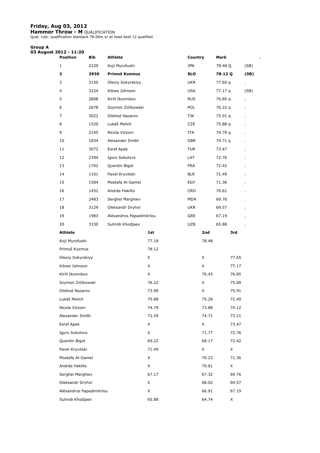#### **Friday, Aug 03, 2012**

**Hammer Throw - M** QUALIFICATION<br>Qual. rule: qualification standard 78.00m or at least best 12 qualified

#### **Group A**

| 03 August 2012 - 11:20 | <b>Position</b>          | Bib  | <b>Athlete</b>           |       | Country    | Mark    |       |      |
|------------------------|--------------------------|------|--------------------------|-------|------------|---------|-------|------|
| $\mathbf{1}$           |                          | 2229 | Koji Murofushi           |       | <b>JPN</b> | 78.48 Q |       | (SB) |
| 2                      |                          | 2930 | Primož Kozmus            |       | <b>SLO</b> | 78.12 Q |       | (SB) |
| 3                      |                          | 3150 | Olexiy Sokyrskiyy        |       | <b>UKR</b> | 77.65 q |       | ä,   |
| 4                      |                          | 3224 | Kibwe Johnson            |       | <b>USA</b> | 77.17 q |       | (SB) |
| 5                      |                          | 2808 | Kirill Ikonnikov         |       | <b>RUS</b> | 76.85 q |       |      |
| 6                      |                          | 2678 | Szymon Ziólkowski        |       | <b>POL</b> | 76.22 q |       |      |
| 7                      |                          | 3022 | Dilshod Nazarov          |       | TJK        | 75.91 q |       |      |
| 8                      |                          | 1520 | Lukáš Melich             |       | <b>CZE</b> | 75.88 q |       |      |
| 9                      |                          | 2145 | Nicola Vizzoni           |       | ITA        | 74.79 q |       |      |
|                        | 10                       | 1834 | Alexander Smith          |       | <b>GBR</b> | 74.71 q |       |      |
| 11                     |                          | 3072 | Esref Apak               |       | <b>TUR</b> | 73.47   |       |      |
|                        | 12                       | 2394 | Igors Sokolovs           |       | LAT        | 72.76   |       |      |
|                        | 13                       | 1742 | Quentin Bigot            |       | <b>FRA</b> | 72.42   |       |      |
|                        | 14                       | 1161 | Pavel Kryvitski          |       | <b>BLR</b> | 71.49   |       |      |
| 15                     |                          | 1584 | Mostafa Al-Gamel         |       | EGY        | 71.36   |       |      |
|                        | 16                       | 1452 | András Haklits           |       | <b>CRO</b> | 70.61   |       |      |
| 17                     |                          | 2483 | Serghei Marghiev         |       | MDA        | 69.76   |       |      |
|                        | 18                       | 3129 | Oleksandr Dryhol         |       | <b>UKR</b> | 69.57   |       |      |
|                        | 19                       | 1983 | Aléxandros Papadimitríou |       | GRE        | 67.19   |       |      |
|                        | 20                       | 3330 | Suhrob Khodjaev          |       | UZB        | 65.88   |       |      |
|                        | <b>Athlete</b>           |      |                          | 1st   | 2nd        |         | 3rd   |      |
|                        | Koji Murofushi           |      |                          | 77.18 |            | 78.48   |       |      |
|                        | Primož Kozmus            |      |                          | 78.12 |            |         |       |      |
|                        | Olexiy Sokyrskiyy        |      |                          | X     | X          |         | 77.65 |      |
|                        | Kibwe Johnson            |      |                          | X     | X          |         | 77.17 |      |
|                        | Kirill Ikonnikov         |      |                          | X     |            | 76.43   | 76.85 |      |
|                        | Szymon Ziólkowski        |      |                          | 76.22 | X          |         | 75.68 |      |
|                        | Dilshod Nazarov          |      |                          | 73.90 | X.         |         | 75.91 |      |
|                        | Lukáš Melich             |      |                          | 75.88 |            | 75.29   | 72.49 |      |
|                        | Nicola Vizzoni           |      |                          | 74.79 |            | 73.88   | 74.12 |      |
|                        | Alexander Smith          |      |                          | 72.59 |            | 74.71   | 73.21 |      |
|                        | Esref Apak               |      |                          | X     | X          |         | 73.47 |      |
|                        | Igors Sokolovs           |      |                          | X     |            | 71.77   | 72.76 |      |
|                        | Quentin Bigot            |      |                          | 69.22 |            | 68.17   | 72.42 |      |
|                        | Pavel Kryvitski          |      |                          | 71.49 | X          |         | X     |      |
|                        | Mostafa Al-Gamel         |      |                          | X     |            | 70.23   | 71.36 |      |
|                        | András Haklits           |      |                          | X     |            | 70.61   | X     |      |
|                        | Serghei Marghiev         |      |                          | 67.17 |            | 67.32   | 69.76 |      |
|                        | Oleksandr Dryhol         |      |                          | X     |            | 68.02   | 69.57 |      |
|                        | Aléxandros Papadimitríou |      |                          | X     |            | 66.91   | 67.19 |      |
|                        | Suhrob Khodjaev          |      |                          | 65.88 |            | 64.74   | X     |      |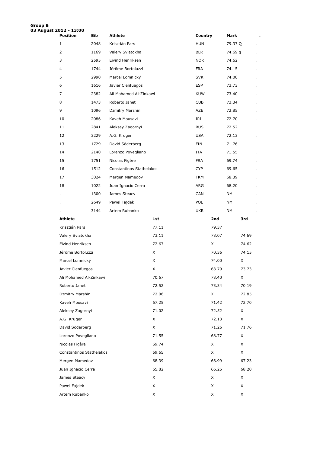| Group B | 03 August 2012 - 13:00   |      |                          |       |            |       |         |       |                |
|---------|--------------------------|------|--------------------------|-------|------------|-------|---------|-------|----------------|
|         | <b>Position</b>          | Bib  | <b>Athlete</b>           |       | Country    |       | Mark    |       |                |
|         | $\mathbf{1}$             | 2048 | Krisztián Pars           |       | <b>HUN</b> |       | 79.37 Q |       |                |
|         | 2                        | 1169 | Valery Sviatokha         |       | <b>BLR</b> |       | 74.69 q |       |                |
|         | 3                        | 2595 | Eivind Henriksen         |       | <b>NOR</b> |       | 74.62   |       |                |
|         | 4                        | 1744 | Jérôme Bortoluzzi        |       | <b>FRA</b> |       | 74.15   |       |                |
|         | 5                        | 2990 | Marcel Lomnický          |       | <b>SVK</b> |       | 74.00   |       | ٠              |
|         | 6                        | 1616 | Javier Cienfuegos        |       | <b>ESP</b> |       | 73.73   |       |                |
|         | $\overline{7}$           | 2382 | Ali Mohamed Al-Zinkawi   |       | <b>KUW</b> |       | 73.40   |       | ×.             |
|         | 8                        | 1473 | Roberto Janet            |       | <b>CUB</b> |       | 73.34   |       | ٠              |
|         | 9                        | 1096 | Dzmitry Marshin          |       | AZE        |       | 72.85   |       | ä,             |
|         | 10                       | 2086 | Kaveh Mousavi            |       | IRI        |       | 72.70   |       | $\cdot$        |
|         | 11                       | 2841 | Aleksey Zagornyi         |       | <b>RUS</b> |       | 72.52   |       | $\cdot$        |
|         | 12                       | 3229 | A.G. Kruger              |       | <b>USA</b> |       | 72.13   |       |                |
|         | 13                       | 1729 | David Söderberg          |       | FIN        |       | 71.76   |       | $\blacksquare$ |
|         | 14                       | 2140 | Lorenzo Povegliano       |       | ITA        |       | 71.55   |       | ×.             |
|         | 15                       | 1751 | Nicolas Figère           |       | <b>FRA</b> |       | 69.74   |       | ٠              |
|         | 16                       | 1512 | Constantinos Stathelakos |       | <b>CYP</b> |       | 69.65   |       |                |
|         | 17                       | 3024 | Mergen Mamedov           |       | <b>TKM</b> |       | 68.39   |       | ٠              |
|         | 18                       | 1022 | Juan Ignacio Cerra       |       | ARG        |       | 68.20   |       |                |
|         |                          | 1300 | James Steacy             |       | CAN        |       | NΜ      |       |                |
|         |                          | 2649 | Pawel Fajdek             |       | <b>POL</b> |       | NΜ      |       |                |
|         |                          | 3144 | Artem Rubanko            |       | <b>UKR</b> |       | NM      |       |                |
|         | <b>Athlete</b>           |      |                          | 1st   |            | 2nd   |         | 3rd   |                |
|         | Krisztián Pars           |      |                          | 77.11 |            | 79.37 |         |       |                |
|         | Valery Sviatokha         |      |                          | 73.11 |            | 73.07 |         | 74.69 |                |
|         | Eivind Henriksen         |      |                          | 72.67 |            | X     |         | 74.62 |                |
|         | Jérôme Bortoluzzi        |      |                          | X     |            | 70.36 |         | 74.15 |                |
|         | Marcel Lomnický          |      |                          | X     |            | 74.00 |         | X     |                |
|         | Javier Cienfuegos        |      |                          | X     |            | 63.79 |         | 73.73 |                |
|         | Ali Mohamed Al-Zinkawi   |      |                          | 70.67 |            | 73.40 |         | X     |                |
|         | Roberto Janet            |      |                          | 72.52 |            | 73.34 |         | 70.19 |                |
|         | Dzmitry Marshin          |      |                          | 72.06 |            | X     |         | 72.85 |                |
|         | Kaveh Mousavi            |      |                          | 67.25 |            | 71.42 |         | 72.70 |                |
|         | Aleksey Zagornyi         |      |                          | 71.02 |            | 72.52 |         | X     |                |
|         | A.G. Kruger              |      |                          | X     |            | 72.13 |         | X     |                |
|         | David Söderberg          |      |                          | X     |            | 71.26 |         | 71.76 |                |
|         | Lorenzo Povegliano       |      |                          | 71.55 |            | 68.77 |         | X     |                |
|         | Nicolas Figère           |      |                          | 69.74 |            | X     |         | X     |                |
|         | Constantinos Stathelakos |      |                          | 69.65 |            | X     |         | X     |                |
|         | Mergen Mamedov           |      |                          | 68.39 |            | 66.99 |         | 67.23 |                |
|         | Juan Ignacio Cerra       |      |                          | 65.82 |            | 66.25 |         | 68.20 |                |
|         | James Steacy             |      |                          | X     |            | X     |         | X     |                |
|         | Pawel Fajdek             |      |                          | X     |            | X     |         | X     |                |
|         | Artem Rubanko            |      |                          | X     |            | X     |         | X     |                |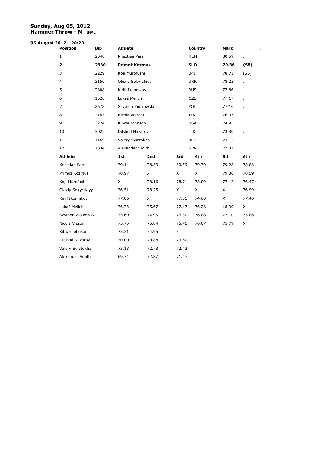#### **Sunday, Aug 05, 2012 Hammer Throw - M** FINAL

# **05 August 2012 - 20:20**

| <b>Position</b>   | <b>Bib</b> | <b>Athlete</b>    |       |       | Country    | Mark  |       |
|-------------------|------------|-------------------|-------|-------|------------|-------|-------|
| $\mathbf{1}$      | 2048       | Krisztián Pars    |       |       | <b>HUN</b> | 80.59 |       |
| $\mathbf{2}$      | 2930       | Primož Kozmus     |       |       | <b>SLO</b> | 79.36 | (SB)  |
| 3                 | 2229       | Koji Murofushi    |       |       | <b>JPN</b> | 78.71 | (SB)  |
| $\overline{4}$    | 3150       | Olexiy Sokyrskiyy |       |       | <b>UKR</b> | 78.25 |       |
| 5                 | 2808       | Kirill Ikonnikov  |       |       | <b>RUS</b> | 77.86 |       |
| 6                 | 1520       | Lukáš Melich      |       |       | <b>CZE</b> | 77.17 | ä,    |
| $\overline{7}$    | 2678       | Szymon Ziólkowski |       |       | <b>POL</b> | 77.10 |       |
| 8                 | 2145       | Nicola Vizzoni    |       |       | <b>ITA</b> | 76.07 |       |
| 9                 | 3224       | Kibwe Johnson     |       |       | <b>USA</b> | 74.95 |       |
| 10                | 3022       | Dilshod Nazarov   |       |       | <b>TJK</b> | 73.80 |       |
| 11                | 1169       | Valery Sviatokha  |       |       | <b>BLR</b> | 73.13 |       |
| 12                | 1834       | Alexander Smith   |       |       | <b>GBR</b> | 72.87 |       |
| <b>Athlete</b>    |            | 1st               | 2nd   | 3rd   | 4th        | 5th   | 6th   |
| Krisztián Pars    |            | 79.14             | 78.33 | 80.59 | 79.70      | 79.28 | 78.88 |
| Primož Kozmus     |            | 78.97             | X     | X     | X          | 79.36 | 78.59 |
| Koji Murofushi    |            | X                 | 78.16 | 78.71 | 78.09      | 77.12 | 76.47 |
| Olexiy Sokyrskiyy |            | 76.51             | 78.25 | X     | X          | X     | 76.99 |
| Kirill Ikonnikov  |            | 77.86             | X     | 77.81 | 74.60      | X     | 77.46 |
| Lukáš Melich      |            | 76.73             | 75.67 | 77.17 | 76.28      | 18.90 | X     |
| Szymon Ziólkowski |            | 75.69             | 74.95 | 76.30 | 76.88      | 77.10 | 75.86 |
| Nicola Vizzoni    |            | 75.75             | 75.84 | 75.41 | 76.07      | 75.79 | X     |
| Kibwe Johnson     |            | 73.31             | 74.95 | X     |            |       |       |
| Dilshod Nazarov   |            | 70.00             | 70.88 | 73.80 |            |       |       |
| Valery Sviatokha  |            | 73.13             | 72.78 | 72.42 |            |       |       |
| Alexander Smith   |            | 69.74             | 72.87 | 71.47 |            |       |       |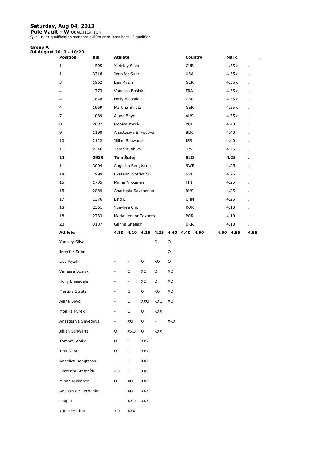### **Saturday, Aug 04, 2012**

**Pole Vault - W** QUALIFICATION Qual. rule: qualification standard 4.60m or at least best 12 qualified.

| <b>Group A</b><br>04 August 2012 - 10:20 |                     |            |                              |                                       |                          |                |                                    |            |         |           |                |
|------------------------------------------|---------------------|------------|------------------------------|---------------------------------------|--------------------------|----------------|------------------------------------|------------|---------|-----------|----------------|
|                                          | <b>Position</b>     | <b>Bib</b> | <b>Athlete</b>               |                                       |                          |                |                                    |            | Country | Mark      |                |
|                                          | $\mathbf{1}$        | 1505       |                              | Yarisley Silva                        |                          |                |                                    | <b>CUB</b> |         | 4.55 $q$  | $\blacksquare$ |
|                                          | $\mathbf{1}$        | 3318       |                              | Jennifer Suhr                         |                          |                |                                    | <b>USA</b> |         | 4.55 q    |                |
|                                          | 3                   | 1962       | Lisa Ryzih                   |                                       |                          |                |                                    | <b>GER</b> |         | 4.55 q    |                |
|                                          | 4                   | 1773       |                              | Vanessa Boslak                        |                          |                |                                    | <b>FRA</b> |         | 4.55 $q$  |                |
|                                          | 4                   | 1848       |                              | <b>Holly Bleasdale</b>                |                          |                |                                    | <b>GBR</b> |         | 4.55 q    | $\mathbf{r}$   |
|                                          | 4                   | 1969       |                              | Martina Strutz                        |                          |                |                                    | <b>GER</b> |         | 4.55q     |                |
|                                          | 7                   | 1069       | Alana Boyd                   |                                       |                          |                |                                    | <b>AUS</b> |         | 4.55 $q$  | $\blacksquare$ |
|                                          | 8                   | 2697       |                              | Monika Pyrek                          |                          |                |                                    | <b>POL</b> |         | 4.40      | $\lambda$      |
|                                          | 9                   | 1198       |                              | Anastasiya Shvedova                   |                          |                |                                    | <b>BLR</b> |         | 4.40      |                |
|                                          | 10                  | 2122       |                              | Jillian Schwartz                      |                          |                |                                    | ISR        |         | 4.40      |                |
|                                          | 11                  | 2246       |                              | Tomomi Abiko                          |                          |                |                                    | <b>JPN</b> |         | 4.25      |                |
|                                          | 11                  | 2939       | Tina Šutej                   |                                       |                          |                |                                    | <b>SLO</b> |         | 4.25      |                |
|                                          | 11                  | 3004       |                              | Angelica Bengtsson                    |                          |                |                                    | <b>SWE</b> |         | 4.25      |                |
|                                          | 14                  | 1999       |                              | Ekateríni Stefanídi                   |                          |                |                                    | <b>GRE</b> |         | 4.25      |                |
|                                          | 15                  | 1735       |                              | Minna Nikkanen                        |                          |                |                                    | FIN        |         | 4.25      |                |
|                                          | 15                  | 2889       |                              | Anastasia Savchenko                   |                          |                |                                    | <b>RUS</b> |         | 4.25      |                |
|                                          | 17                  | 1376       | Ling Li                      |                                       |                          |                |                                    | <b>CHN</b> |         | 4.25      |                |
|                                          | 18                  | 2361       |                              | Yun-hee Choi                          |                          |                |                                    | <b>KOR</b> |         | 4.10      |                |
|                                          | 18<br>20            | 2733       |                              | Maria Leonor Tavares<br>Ganna Shelekh |                          |                |                                    | <b>POR</b> |         | 4.10      |                |
|                                          |                     | 3187       |                              |                                       |                          |                |                                    | <b>UKR</b> |         | 4.10      | ä,             |
|                                          |                     |            |                              |                                       |                          |                |                                    |            |         |           |                |
|                                          | Athlete             |            |                              |                                       |                          |                | 4.10 4.10 4.25 4.25 4.40 4.40 4.50 |            |         | 4.50 4.55 | 4.55           |
|                                          | Yarisley Silva      |            |                              |                                       | ÷,                       | O              | O                                  |            |         |           |                |
|                                          | Jennifer Suhr       |            |                              | $\overline{\phantom{m}}$              | $\overline{\phantom{a}}$ | $\equiv$       | O                                  |            |         |           |                |
|                                          | Lisa Ryzih          |            | -                            | $\overline{\phantom{a}}$              | O                        | XO             | O                                  |            |         |           |                |
|                                          | Vanessa Boslak      |            | -                            | O                                     | XO                       | O              | XO                                 |            |         |           |                |
|                                          | Holly Bleasdale     |            | -                            | $\blacksquare$                        | XO                       | O              | XO                                 |            |         |           |                |
|                                          | Martina Strutz      |            | ۰                            | O                                     | O                        | XO             | XO                                 |            |         |           |                |
|                                          | Alana Boyd          |            | $\blacksquare$               | O                                     | XXO                      | XXO            | XO                                 |            |         |           |                |
|                                          | Monika Pyrek        |            | $\blacksquare$               | O                                     | $\mathsf O$              | $\mathsf{XXX}$ |                                    |            |         |           |                |
|                                          | Anastasiya Shvedova |            | $\equiv$                     | XO                                    | O                        | $\blacksquare$ | <b>XXX</b>                         |            |         |           |                |
|                                          | Jillian Schwartz    |            | O                            | XXO                                   | $\mathsf O$              | <b>XXX</b>     |                                    |            |         |           |                |
|                                          | Tomomi Abiko        |            | O                            | O                                     | $\mathsf{XXX}$           |                |                                    |            |         |           |                |
|                                          | Tina Šutej          |            | O                            | O                                     | XXX                      |                |                                    |            |         |           |                |
|                                          | Angelica Bengtsson  |            | $\qquad \qquad \blacksquare$ | O                                     | XXX                      |                |                                    |            |         |           |                |
|                                          | Ekateríni Stefanídi |            | XO                           | O                                     | XXX                      |                |                                    |            |         |           |                |
|                                          | Minna Nikkanen      |            | O                            | XO                                    | XXX                      |                |                                    |            |         |           |                |
|                                          | Anastasia Savchenko |            | $\blacksquare$               | XO                                    | XXX                      |                |                                    |            |         |           |                |
|                                          | Ling Li             |            | $\overline{\phantom{a}}$     | XXO                                   | XXX                      |                |                                    |            |         |           |                |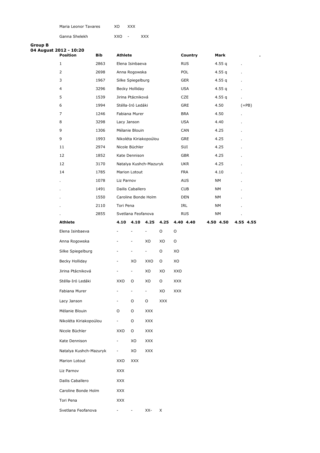| Maria Leonor Tavares | XΟ | <b>XXX</b> |
|----------------------|----|------------|
|                      |    |            |

Ganna Shelekh XXO - XXX

| Group B | 04 August 2012 - 10:20 |              |                          |                              |                          |      |            |                   |           |    |           |
|---------|------------------------|--------------|--------------------------|------------------------------|--------------------------|------|------------|-------------------|-----------|----|-----------|
|         | <b>Position</b>        | <b>Bib</b>   | <b>Athlete</b>           |                              |                          |      |            | Country           | Mark      |    |           |
|         | 1                      | 2863         |                          | Elena Isinbaeva              |                          |      |            | <b>RUS</b>        | 4.55 $q$  | ä, |           |
|         | 2                      | 2698         |                          | Anna Rogowska                |                          |      |            | <b>POL</b>        | 4.55 $q$  |    |           |
|         | 3                      | 1967         |                          | Silke Spiegelburg            |                          |      |            | GER               | 4.55 $q$  |    |           |
|         | 4                      | 3296         |                          | Becky Holliday               |                          |      |            | <b>USA</b>        | 4.55 $q$  |    |           |
|         | 5                      | 1539         |                          | Jirina Ptácniková            |                          |      |            | <b>CZE</b>        | 4.55 $q$  | ×. |           |
|         | 6                      | 1994         |                          | Stélla-Iró Ledáki            |                          |      |            | <b>GRE</b>        | 4.50      |    | $(=PB)$   |
|         | 7                      | 1246         |                          | Fabiana Murer                |                          |      |            | <b>BRA</b>        | 4.50      | ×. |           |
|         | 8                      | 3298         | Lacy Janson              |                              |                          |      |            | <b>USA</b>        | 4.40      |    |           |
|         | 9                      | 1306         |                          | Mélanie Blouin               |                          |      |            | CAN               | 4.25      |    |           |
|         | 9                      | 1993         |                          | Nikoléta Kiriakopoúlou       |                          |      |            | GRE               | 4.25      |    |           |
|         | 11                     | 2974         |                          | Nicole Büchler               |                          |      |            | SUI               | 4.25      |    |           |
|         | 12                     | 1852         |                          | Kate Dennison                |                          |      |            | <b>GBR</b>        | 4.25      |    |           |
|         | 12                     | 3170         |                          | Natalya Kushch-Mazuryk       |                          |      |            | <b>UKR</b>        | 4.25      |    |           |
|         | 14                     | 1785         |                          | Marion Lotout                |                          |      |            | <b>FRA</b>        | 4.10      |    |           |
|         |                        | 1078         | Liz Parnov               |                              |                          |      |            | <b>AUS</b>        | NΜ        |    |           |
|         |                        | 1491         |                          | Dailis Caballero             |                          |      |            | <b>CUB</b>        | NΜ        |    |           |
|         |                        | 1550         |                          | Caroline Bonde Holm          |                          |      |            | <b>DEN</b>        | NΜ        |    |           |
|         |                        | 2110<br>2855 | Tori Pena                | Svetlana Feofanova           |                          |      |            | IRL<br><b>RUS</b> | NΜ<br>NΜ  |    |           |
|         | Athlete                |              | 4.10                     |                              | 4.10 4.25                | 4.25 |            | 4.40 4.40         | 4.50 4.50 |    | 4.55 4.55 |
|         | Elena Isinbaeva        |              |                          | ÷,                           | $\overline{\phantom{a}}$ | O    | O          |                   |           |    |           |
|         | Anna Rogowska          |              |                          | $\qquad \qquad \blacksquare$ | XO                       | XO   | O          |                   |           |    |           |
|         | Silke Spiegelburg      |              |                          | $\overline{\phantom{a}}$     | $\overline{\phantom{a}}$ | O    | XO         |                   |           |    |           |
|         | Becky Holliday         |              | $\overline{\phantom{a}}$ | XO                           | XXO                      | O    | XO         |                   |           |    |           |
|         | Jirina Ptácniková      |              |                          | $\qquad \qquad \blacksquare$ | XO                       | XO   | XXO        |                   |           |    |           |
|         | Stélla-Iró Ledáki      |              | XXO                      | O                            | XO                       | O    | <b>XXX</b> |                   |           |    |           |
|         | Fabiana Murer          |              |                          |                              | -                        | XO   | <b>XXX</b> |                   |           |    |           |
|         | Lacy Janson            |              |                          | 0                            | 0                        | XXX  |            |                   |           |    |           |
|         | Mélanie Blouin         |              | 0                        | O                            | <b>XXX</b>               |      |            |                   |           |    |           |
|         | Nikoléta Kiriakopoúlou |              | $\blacksquare$           | O                            | <b>XXX</b>               |      |            |                   |           |    |           |
|         | Nicole Büchler         |              | XXO                      | O                            | <b>XXX</b>               |      |            |                   |           |    |           |
|         | Kate Dennison          |              | $\overline{\phantom{a}}$ | XO                           | XXX                      |      |            |                   |           |    |           |
|         | Natalya Kushch-Mazuryk |              | $\sim$                   | XO                           | <b>XXX</b>               |      |            |                   |           |    |           |
|         | Marion Lotout          |              | XXO                      | <b>XXX</b>                   |                          |      |            |                   |           |    |           |
|         | Liz Parnov             |              | <b>XXX</b>               |                              |                          |      |            |                   |           |    |           |
|         | Dailis Caballero       |              | <b>XXX</b>               |                              |                          |      |            |                   |           |    |           |
|         | Caroline Bonde Holm    |              | <b>XXX</b>               |                              |                          |      |            |                   |           |    |           |
|         | Tori Pena              |              | <b>XXX</b>               |                              |                          |      |            |                   |           |    |           |
|         | Svetlana Feofanova     |              | $\overline{\phantom{a}}$ |                              | $XX- X$                  |      |            |                   |           |    |           |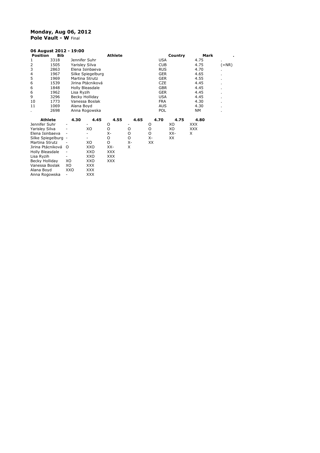#### **Monday, Aug 06, 2012 Pole Vault - W** Final

| 06 August 2012 - 19:00        |                          |                   |                |      |            |         |            |         |
|-------------------------------|--------------------------|-------------------|----------------|------|------------|---------|------------|---------|
| <b>Position</b><br><b>Bib</b> |                          |                   | <b>Athlete</b> |      |            | Country | Mark       |         |
| 3318<br>1                     | Jennifer Suhr            |                   |                |      | <b>USA</b> |         | 4.75       |         |
| $\overline{2}$<br>1505        | Yarisley Silva           |                   |                |      | <b>CUB</b> |         | 4.75       | $(=NR)$ |
| 3<br>2863                     |                          | Elena Isinbaeva   |                |      | <b>RUS</b> |         | 4.70       |         |
| 4<br>1967                     |                          | Silke Spiegelburg |                |      | <b>GER</b> |         | 4.65       |         |
| 5<br>1969                     | Martina Strutz           |                   |                |      | <b>GER</b> |         | 4.55       |         |
| 6<br>1539                     |                          | Jirina Ptácniková |                |      | <b>CZE</b> |         | 4.45       |         |
| 6<br>1848                     |                          | Holly Bleasdale   |                |      | <b>GBR</b> |         | 4.45       |         |
| 6<br>1962                     | Lisa Ryzih               |                   |                |      | <b>GER</b> |         | 4.45       |         |
| 9<br>3296                     |                          | Becky Holliday    |                |      | <b>USA</b> |         | 4.45       | ٠       |
| 10<br>1773                    |                          | Vanessa Boslak    |                |      | <b>FRA</b> |         | 4.30       |         |
| 11<br>1069                    | Alana Boyd               |                   |                |      | <b>AUS</b> |         | 4.30       |         |
| 2698<br>٠                     |                          | Anna Rogowska     |                |      | POL        |         | NΜ         |         |
| <b>Athlete</b>                | 4.30                     | 4.45              | 4.55           | 4.65 | 4.70       | 4.75    | 4.80       |         |
| Jennifer Suhr                 |                          | ٠                 | O              |      | O          | XO      | <b>XXX</b> |         |
| Yarisley Silva                |                          | XO                | O              | O    | O          | XO      | XXX        |         |
| Elena Isinbaeva               |                          |                   | х-             | O    | O          | XX-     | X          |         |
| Silke Spiegelburg -           |                          |                   | O              | O    | х-         | XX      |            |         |
| Martina Strutz                |                          | XO                | O              | Х-   | XX         |         |            |         |
| Jirina Ptácniková             | $\Omega$                 | XXO               | XX-            | X    |            |         |            |         |
| Holly Bleasdale               |                          | XXO               | <b>XXX</b>     |      |            |         |            |         |
| Lisa Ryzih                    |                          | XXO               | <b>XXX</b>     |      |            |         |            |         |
| Becky Holliday                | XO                       | XXO               | <b>XXX</b>     |      |            |         |            |         |
| Vanessa Boslak                | XO                       | XXX               |                |      |            |         |            |         |
| Alana Boyd                    | XXO                      | <b>XXX</b>        |                |      |            |         |            |         |
| Anna Rogowska                 | $\overline{\phantom{m}}$ | <b>XXX</b>        |                |      |            |         |            |         |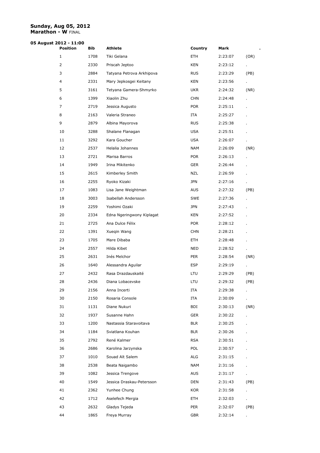#### **Sunday, Aug 05, 2012 Marathon - W** FINAL

# **05 August 2012 - 11:00**

| <b>Position</b> | Bib  | <b>Athlete</b>            | Country    | Mark    | ٠.   |
|-----------------|------|---------------------------|------------|---------|------|
| 1               | 1708 | Tiki Gelana               | ETH        | 2:23:07 | (OR) |
| $\overline{2}$  | 2330 | Priscah Jeptoo            | KEN        | 2:23:12 |      |
| 3               | 2884 | Tatyana Petrova Arkhipova | <b>RUS</b> | 2:23:29 | (PB) |
| 4               | 2331 | Mary Jepkosgei Keitany    | KEN        | 2:23:56 | ¥.   |
| 5               | 3161 | Tetyana Gamera-Shmyrko    | <b>UKR</b> | 2:24:32 | (NR) |
| 6               | 1399 | Xiaolin Zhu               | <b>CHN</b> | 2:24:48 |      |
| 7               | 2719 | Jessica Augusto           | <b>POR</b> | 2:25:11 |      |
| 8               | 2163 | Valeria Straneo           | ITA        | 2:25:27 |      |
| 9               | 2879 | Albina Mayorova           | <b>RUS</b> | 2:25:38 |      |
| 10              | 3288 | Shalane Flanagan          | USA        | 2:25:51 |      |
| 11              | 3292 | Kara Goucher              | USA        | 2:26:07 |      |
| 12              | 2537 | Helalia Johannes          | NAM        | 2:26:09 | (NR) |
| 13              | 2721 | Marisa Barros             | <b>POR</b> | 2:26:13 |      |
| 14              | 1949 | Irina Mikitenko           | <b>GER</b> | 2:26:44 |      |
| 15              | 2615 | Kimberley Smith           | NZL        | 2:26:59 |      |
| 16              | 2255 | Ryoko Kizaki              | <b>JPN</b> | 2:27:16 |      |
| 17              | 1083 | Lisa Jane Weightman       | <b>AUS</b> | 2:27:32 | (PB) |
| 18              | 3003 | Isabellah Andersson       | SWE        | 2:27:36 |      |
| 19              | 2259 | Yoshimi Ozaki             | <b>JPN</b> | 2:27:43 |      |
| 20              | 2334 | Edna Ngeringwony Kiplagat | KEN        | 2:27:52 |      |
| 21              | 2725 | Ana Dulce Félix           | <b>POR</b> | 2:28:12 |      |
| 22              | 1391 | Xueqin Wang               | <b>CHN</b> | 2:28:21 |      |
| 23              | 1705 | Mare Dibaba               | ETH        | 2:28:48 |      |
| 24              | 2557 | Hilda Kibet               | NED        | 2:28:52 | ×.   |
| 25              | 2631 | Inés Melchor              | <b>PER</b> | 2:28:54 | (NR) |
| 26              | 1640 | Alessandra Aguilar        | ESP        | 2:29:19 |      |
| 27              | 2432 | Rasa Drazdauskaité        | LTU        | 2:29:29 | (PB) |
| 28              | 2436 | Diana Lobacevske          | LTU        | 2:29:32 | (PB) |
| 29              | 2156 | Anna Incerti              | ITA        | 2:29:38 |      |
| 30              | 2150 | Rosaria Console           | ITA        | 2:30:09 |      |
| 31              | 1131 | Diane Nukuri              | BDI        | 2:30:13 | (NR) |
| 32              | 1937 | Susanne Hahn              | GER        | 2:30:22 |      |
| 33              | 1200 | Nastassia Staravoitava    | <b>BLR</b> | 2:30:25 |      |
| 34              | 1184 | Sviatlana Kouhan          | <b>BLR</b> | 2:30:26 |      |
| 35              | 2792 | René Kalmer               | RSA        | 2:30:51 |      |
| 36              | 2686 | Karolina Jarzynska        | <b>POL</b> | 2:30:57 |      |
| 37              | 1010 | Souad Aït Salem           | ALG        | 2:31:15 |      |
| 38              | 2538 | Beata Naigambo            | NAM        | 2:31:16 |      |
| 39              | 1082 | Jessica Trengove          | <b>AUS</b> | 2:31:17 |      |
| 40              | 1549 | Jessica Draskau-Petersson | DEN        | 2:31:43 | (PB) |
| 41              | 2362 | Yunhee Chung              | KOR        | 2:31:58 |      |
| 42              | 1712 | Aselefech Mergia          | ETH        | 2:32:03 | ċ.   |
| 43              | 2632 | Gladys Tejeda             | PER        | 2:32:07 | (PB) |
| 44              | 1865 | Freya Murray              | GBR        | 2:32:14 |      |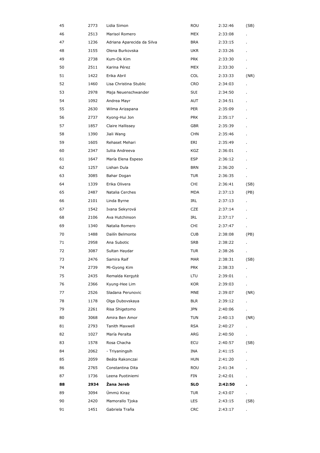| 45 | 2773 | Lidia Simon                | ROU        | 2:32:46 | (SB) |
|----|------|----------------------------|------------|---------|------|
| 46 | 2513 | Marisol Romero             | <b>MEX</b> | 2:33:08 |      |
| 47 | 1236 | Adriana Aparecida da Silva | <b>BRA</b> | 2:33:15 |      |
| 48 | 3155 | Olena Burkovska            | <b>UKR</b> | 2:33:26 |      |
| 49 | 2738 | Kum-Ok Kim                 | <b>PRK</b> | 2:33:30 |      |
| 50 | 2511 | Karina Pérez               | <b>MEX</b> | 2:33:30 |      |
| 51 | 1422 | Erika Abril                | <b>COL</b> | 2:33:33 | (NR) |
| 52 | 1460 | Lisa Christina Stublic     | CRO        | 2:34:03 |      |
| 53 | 2978 | Maja Neuenschwander        | SUI        | 2:34:50 |      |
| 54 | 1092 | Andrea Mayr                | AUT        | 2:34:51 |      |
| 55 | 2630 | Wilma Arizapana            | <b>PER</b> | 2:35:09 |      |
| 56 | 2737 | Kyong-Hui Jon              | <b>PRK</b> | 2:35:17 |      |
| 57 | 1857 | Claire Hallissey           | <b>GBR</b> | 2:35:39 |      |
| 58 | 1390 | Jiali Wang                 | <b>CHN</b> | 2:35:46 |      |
| 59 | 1605 | Rehaset Mehari             | ERI        | 2:35:49 |      |
| 60 | 2347 | Iuliia Andreeva            | KGZ        | 2:36:01 |      |
| 61 | 1647 | María Elena Espeso         | <b>ESP</b> | 2:36:12 |      |
| 62 | 1257 | Lishan Dula                | <b>BRN</b> | 2:36:20 |      |
| 63 | 3085 | Bahar Dogan                | <b>TUR</b> | 2:36:35 | ä,   |
| 64 | 1339 | Erika Olivera              | CHI        | 2:36:41 | (SB) |
| 65 | 2487 | Natalia Cerches            | <b>MDA</b> | 2:37:13 | (PB) |
| 66 | 2101 | Linda Byrne                | IRL        | 2:37:13 |      |
| 67 | 1542 | Ivana Sekyrová             | <b>CZE</b> | 2:37:14 | à.   |
| 68 | 2106 | Ava Hutchinson             | IRL        | 2:37:17 |      |
| 69 | 1340 | Natalia Romero             | CHI        | 2:37:47 |      |
| 70 | 1488 | Dailín Belmonte            | <b>CUB</b> | 2:38:08 | (PB) |
| 71 | 2958 | Ana Subotic                | <b>SRB</b> | 2:38:22 |      |
| 72 | 3087 | Sultan Haydar              | TUR        | 2:38:26 |      |
| 73 | 2476 | Samira Raif                | <b>MAR</b> | 2:38:31 | (SB) |
| 74 | 2739 | Mi-Gyong Kim               | <b>PRK</b> | 2:38:33 |      |
| 75 | 2435 | Remalda Kergytè            | LTU        | 2:39:01 |      |
| 76 | 2366 | Kyung-Hee Lim              | <b>KOR</b> | 2:39:03 |      |
| 77 | 2526 | Sladana Perunovic          | <b>MNE</b> | 2:39:07 | (NR) |
| 78 | 1178 | Olga Dubovskaya            | <b>BLR</b> | 2:39:12 |      |
| 79 | 2261 | Risa Shigetomo             | <b>JPN</b> | 2:40:06 |      |
| 80 | 3068 | Amira Ben Amor             | <b>TUN</b> | 2:40:13 | (NR) |
| 81 | 2793 | Tanith Maxwell             | <b>RSA</b> | 2:40:27 |      |
| 82 | 1027 | María Peralta              | ARG        | 2:40:50 |      |
| 83 | 1578 | Rosa Chacha                | ECU        | 2:40:57 | (SB) |
| 84 | 2062 | - Triyaningsih             | INA        | 2:41:15 |      |
| 85 | 2059 | Beáta Rakonczai            | <b>HUN</b> | 2:41:20 |      |
| 86 | 2765 | Constantina Dita           | <b>ROU</b> | 2:41:34 |      |
| 87 | 1736 | Leena Puotiniemi           | FIN        | 2:42:01 |      |
| 88 | 2934 | Žana Jereb                 | <b>SLO</b> | 2:42:50 |      |
| 89 | 3094 | Ümmü Kiraz                 | <b>TUR</b> | 2:43:07 |      |
| 90 | 2420 | Mamorallo Tjoka            | <b>LES</b> | 2:43:15 | (SB) |
| 91 | 1451 | Gabriela Traña             | <b>CRC</b> | 2:43:17 |      |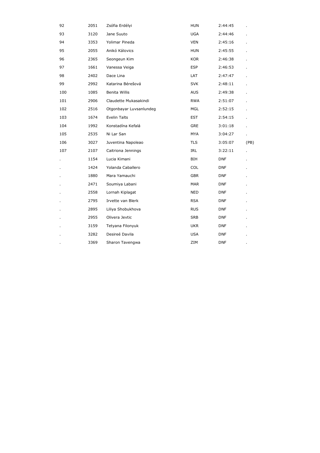| 92  | 2051 | Zsófia Erdélyi          | <b>HUN</b> | 2:44:45    |      |
|-----|------|-------------------------|------------|------------|------|
| 93  | 3120 | Jane Suuto              | <b>UGA</b> | 2:44:46    |      |
| 94  | 3353 | Yolimar Pineda          | <b>VEN</b> | 2:45:16    |      |
| 95  | 2055 | Anikó Kálovics          | <b>HUN</b> | 2:45:55    |      |
| 96  | 2365 | Seongeun Kim            | <b>KOR</b> | 2:46:38    |      |
| 97  | 1661 | Vanessa Veiga           | <b>ESP</b> | 2:46:53    |      |
| 98  | 2402 | Dace Lina               | LAT        | 2:47:47    |      |
| 99  | 2992 | Katarina Bérešová       | <b>SVK</b> | 2:48:11    |      |
| 100 | 1085 | Benita Willis           | <b>AUS</b> | 2:49:38    |      |
| 101 | 2906 | Claudette Mukasakindi   | <b>RWA</b> | 2:51:07    |      |
| 102 | 2516 | Otgonbayar Luvsanlundeg | <b>MGL</b> | 2:52:15    |      |
| 103 | 1674 | Evelin Talts            | <b>EST</b> | 2:54:15    |      |
| 104 | 1992 | Konstadína Kefalá       | GRE        | 3:01:18    |      |
| 105 | 2535 | Ni Lar San              | MYA        | 3:04:27    |      |
| 106 | 3027 | Juventina Napoleao      | TLS        | 3:05:07    | (PB) |
| 107 | 2107 | Caitriona Jennings      | IRL        | 3:22:11    |      |
|     | 1154 | Lucia Kimani            | BIH        | <b>DNF</b> |      |
|     | 1424 | Yolanda Caballero       | COL        | <b>DNF</b> |      |
|     | 1880 | Mara Yamauchi           | <b>GBR</b> | <b>DNF</b> |      |
|     | 2471 | Soumiya Labani          | <b>MAR</b> | <b>DNF</b> |      |
|     | 2558 | Lornah Kiplagat         | <b>NED</b> | <b>DNF</b> |      |
|     | 2795 | Irvette van Blerk       | <b>RSA</b> | <b>DNF</b> |      |
|     | 2895 | Liliya Shobukhova       | <b>RUS</b> | <b>DNF</b> |      |
|     | 2955 | Olivera Jevtic          | <b>SRB</b> | DNF        |      |
|     | 3159 | Tetyana Filonyuk        | <b>UKR</b> | <b>DNF</b> |      |
|     | 3282 | Desireé Davila          | <b>USA</b> | <b>DNF</b> |      |
|     | 3369 | Sharon Tavengwa         | ZIM        | <b>DNF</b> |      |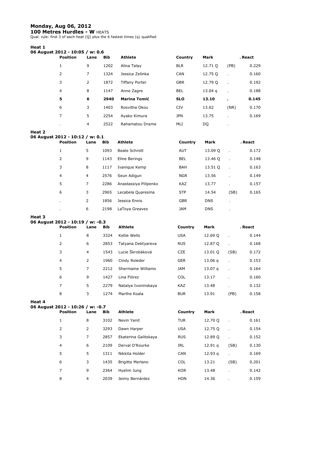#### **Monday, Aug 06, 2012**

**100 Metres Hurdles - W** HEATS<br>Qual. rule: first 3 of each heat (Q) plus the 6 fastest times (q) qualified

#### **Heat 1**

| 06 August 2012 - 10:05 / w: 0.6 |      |            |                       |            |                    |      |         |
|---------------------------------|------|------------|-----------------------|------------|--------------------|------|---------|
| <b>Position</b>                 | Lane | <b>Bib</b> | <b>Athlete</b>        | Country    | Mark               |      | . React |
| 1                               | 9    | 1202       | Alina Talay           | <b>BLR</b> | 12.71 0            | (PB) | 0.229   |
| 2                               | 7    | 1324       | Jessica Zelinka       | CAN        | 12.75 Q            |      | 0.160   |
| 3                               | 2    | 1872       | <b>Tiffany Porter</b> | <b>GBR</b> | 12.79 Q            |      | 0.192   |
| $\overline{4}$                  | 8    | 1147       | Anne Zagre            | <b>BEL</b> | 13.04 <sub>q</sub> |      | 0.188   |
| 5                               | 6    | 2940       | <b>Marina Tomić</b>   | <b>SLO</b> | 13.10              |      | 0.145   |
| 6                               | 3    | 1403       | Rosvitha Okou         | <b>CIV</b> | 13.62              | (NR) | 0.170   |
| 7                               | 5    | 2254       | Ayako Kimura          | <b>JPN</b> | 13.75              |      | 0.169   |
| ٠                               | 4    | 2522       | Rahamatou Drame       | MLI        | DQ                 | ٠    |         |

#### **Heat 2**

| 06 August 2012 - 10:12 / w: 0.1 |                |            |                       |            |            |              |         |
|---------------------------------|----------------|------------|-----------------------|------------|------------|--------------|---------|
| <b>Position</b>                 | Lane           | <b>Bib</b> | <b>Athlete</b>        | Country    | Mark       |              | . React |
| 1                               | 5              | 1093       | <b>Beate Schrott</b>  | <b>AUT</b> | 13.09 Q    | $\mathbf{r}$ | 0.172   |
| 2                               | 9              | 1143       | Eline Berings         | <b>BEL</b> | 13.46 O    | $\mathbf{r}$ | 0.148   |
| 3                               | 8              | 1117       | Ivanique Kemp         | <b>BAH</b> | 13.51 Q    | $\mathbf{r}$ | 0.163   |
| $\overline{4}$                  | $\overline{4}$ | 2576       | Seun Adigun           | <b>NGR</b> | 13.56      |              | 0.149   |
| 5                               | 7              | 2286       | Anastassiya Pilipenko | <b>KAZ</b> | 13.77      |              | 0.157   |
| 6                               | 3              | 2965       | Lecabela Quaresma     | <b>STP</b> | 14.54      | (SB)         | 0.165   |
| $\blacksquare$                  | 2              | 1856       | Jessica Ennis         | <b>GBR</b> | <b>DNS</b> | ٠            |         |
| ٠                               | 6              | 2198       | LaToya Greaves        | <b>JAM</b> | <b>DNS</b> | $\cdot$      |         |

#### **Heat 3**

**Heat 4** 

| 06 August 2012 - 10:19 / w: -0.3 |                |            |                     |            |                    |                |         |
|----------------------------------|----------------|------------|---------------------|------------|--------------------|----------------|---------|
| <b>Position</b>                  | Lane           | <b>Bib</b> | <b>Athlete</b>      | Country    | Mark               |                | . React |
| 1                                | 8              | 3324       | Kellie Wells        | <b>USA</b> | 12.69 Q            | k,             | 0.144   |
| 2                                | 6              | 2853       | Tatyana Dektyareva  | <b>RUS</b> | 12.87 Q            | $\mathbf{r}$   | 0.168   |
| 3                                | 4              | 1543       | Lucie Škrobáková    | <b>CZE</b> | 13.01 Q            | (SB)           | 0.172   |
| $\overline{4}$                   | 2              | 1960       | Cindy Roleder       | <b>GER</b> | 13.06 <sub>a</sub> | $\blacksquare$ | 0.153   |
| 5                                | $\overline{7}$ | 2212       | Shermaine Williams  | <b>JAM</b> | 13.07 <sub>q</sub> | $\mathbf{r}$   | 0.164   |
| 6                                | 9              | 1427       | Lina Flórez         | <b>COL</b> | 13.17              |                | 0.160   |
| 7                                | 5              | 2279       | Natalya Ivoninskaya | <b>KAZ</b> | 13.48              |                | 0.132   |
| 8                                | 3              | 1274       | Marthe Koala        | <b>BUR</b> | 13.91              | (PB)           | 0.158   |

| 06 August 2012 - 10:26 / w: -0.7 |                 |                |            |                         |            |                    |              |         |
|----------------------------------|-----------------|----------------|------------|-------------------------|------------|--------------------|--------------|---------|
|                                  | <b>Position</b> | Lane           | <b>Bib</b> | <b>Athlete</b>          | Country    | Mark               |              | . React |
|                                  | 1               | 8              | 3102       | Nevin Yanit             | <b>TUR</b> | 12.70 Q            |              | 0.161   |
|                                  | 2               | 2              | 3293       | Dawn Harper             | <b>USA</b> | 12.75 Q            |              | 0.154   |
|                                  | 3               | 7              | 2857       | Ekaterina Galitskaya    | <b>RUS</b> | 12.89 Q            | $\mathbf{r}$ | 0.152   |
|                                  | $\overline{4}$  | 6              | 2109       | Derval O'Rourke         | IRL        | 12.91 <sub>a</sub> | (SB)         | 0.130   |
|                                  | 5               | 5              | 1311       | Nikkita Holder          | <b>CAN</b> | 12.93 <sub>a</sub> | $\mathbf{r}$ | 0.169   |
|                                  | 6               | 3              | 1435       | <b>Brigitte Merlano</b> | <b>COL</b> | 13.21              | (SB)         | 0.201   |
|                                  | 7               | 9              | 2364       | Hyelim Jung             | <b>KOR</b> | 13.48              | ٠            | 0.142   |
|                                  | 8               | $\overline{4}$ | 2039       | Jeimy Bernárdez         | <b>HON</b> | 14.36              |              | 0.159   |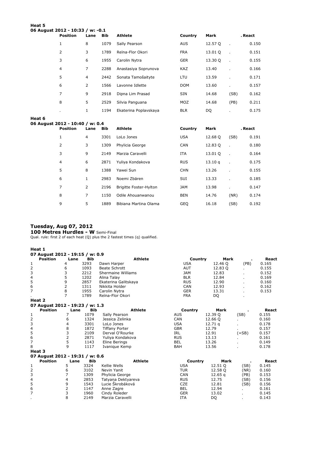| Heat 5 | 06 August 2012 - 10:33 / w: -0.1 |              |            |                       |            |         |                      |         |  |
|--------|----------------------------------|--------------|------------|-----------------------|------------|---------|----------------------|---------|--|
|        | <b>Position</b>                  | Lane         | <b>Bib</b> | Athlete               | Country    | Mark    |                      | . React |  |
|        | $\mathbf{1}$                     | 8            | 1079       | Sally Pearson         | <b>AUS</b> | 12.57 Q | $\ddot{\phantom{a}}$ | 0.150   |  |
|        | 2                                | 3            | 1789       | Reïna-Flor Okori      | <b>FRA</b> | 13.01 Q |                      | 0.151   |  |
|        | 3                                | 6            | 1955       | Carolin Nytra         | <b>GER</b> | 13.30 Q |                      | 0.155   |  |
|        | $\overline{4}$                   | 7            | 2288       | Anastasiya Soprunova  | <b>KAZ</b> | 13.40   |                      | 0.166   |  |
|        | 5                                | 4            | 2442       | Sonata Tamošaityte    | LTU        | 13.59   | $\mathbf{r}$         | 0.171   |  |
|        | 6                                | 2            | 1566       | Lavonne Idlette       | <b>DOM</b> | 13.60   |                      | 0.157   |  |
|        | 7                                | 9            | 2918       | Dipna Lim Prasad      | <b>SIN</b> | 14.68   | (SB)                 | 0.162   |  |
|        | 8                                | 5            | 2529       | Silvia Panguana       | <b>MOZ</b> | 14.68   | (PB)                 | 0.211   |  |
|        |                                  | $\mathbf{1}$ | 1194       | Ekaterina Poplavskaya | <b>BLR</b> | DQ      |                      | 0.175   |  |

#### **Heat 6**  06 Augu

| ust 2012 - 10:40 / w: 0.4 |      |            |                        |            |         |      |         |
|---------------------------|------|------------|------------------------|------------|---------|------|---------|
| <b>Position</b>           | Lane | <b>Bib</b> | <b>Athlete</b>         | Country    | Mark    |      | . React |
| 1                         | 4    | 3301       | LoLo Jones             | <b>USA</b> | 12.68 Q | (SB) | 0.191   |
| 2                         | 3    | 1309       | Phylicia George        | <b>CAN</b> | 12.83 Q |      | 0.180   |
| 3                         | 9    | 2149       | Marzia Caravelli       | <b>ITA</b> | 13.01 Q |      | 0.164   |
| 4                         | 6    | 2871       | Yuliya Kondakova       | <b>RUS</b> | 13.10q  |      | 0.175   |
| 5                         | 8    | 1388       | Yawei Sun              | <b>CHN</b> | 13.26   |      | 0.155   |
| 6                         | 1    | 2983       | Noemi Zbären           | <b>SUI</b> | 13.33   |      | 0.185   |
| 7                         | 2    | 2196       | Brigitte Foster-Hylton | <b>JAM</b> | 13.98   |      | 0.147   |
| 8                         | 7    | 1150       | Odile Ahouanwanou      | <b>BEN</b> | 14.76   | (NR) | 0.174   |
| 9                         | 5    | 1889       | Bibiana Martina Olama  | <b>GEO</b> | 16.18   | (SB) | 0.192   |

#### **Tuesday, Aug 07, 2012**

**100 Metres Hurdles - W** Semi-Final Qual. rule: first 2 of each heat (Q) plus the 2 fastest times (q) qualified.

**Heat 1** 

|                | Heat 1                          |                |            |                       |            |                    |          |       |
|----------------|---------------------------------|----------------|------------|-----------------------|------------|--------------------|----------|-------|
|                | 07 August 2012 - 19:15 / w: 0.9 |                |            |                       |            |                    |          |       |
|                | <b>Position</b>                 | Lane           | <b>Bib</b> | <b>Athlete</b>        | Country    | Mark               |          | React |
| $\mathbf 1$    |                                 | 4              | 3293       | Dawn Harper           | <b>USA</b> | 12.46 O            | (PB)     | 0.165 |
| 2              |                                 | 6              | 1093       | <b>Beate Schrott</b>  | <b>AUT</b> | 12.83 Q            | ÷.       | 0.155 |
| 3              |                                 | 3              | 2212       | Shermaine Williams    | <b>JAM</b> | 12.83              |          | 0.152 |
| 4              |                                 | 5              | 1202       | Alina Talay           | <b>BLR</b> | 12.84              |          | 0.169 |
| 5              |                                 | 9              | 2857       | Ekaterina Galitskaya  | <b>RUS</b> | 12.90              |          | 0.160 |
| 6              |                                 | $\overline{2}$ | 1311       | Nikkita Holder        | <b>CAN</b> | 12.93              |          | 0.162 |
| $\overline{7}$ |                                 | 8              | 1955       | Carolin Nytra         | <b>GER</b> | 13.31              |          | 0.153 |
|                |                                 | $\overline{7}$ | 1789       | Reïna-Flor Okori      | <b>FRA</b> | DQ                 |          |       |
|                | Heat 2                          |                |            |                       |            |                    |          |       |
|                | 07 August 2012 - 19:23 / w: 1.3 |                |            |                       |            |                    |          |       |
|                | <b>Position</b>                 | Lane           | <b>Bib</b> | <b>Athlete</b>        | Country    | Mark               |          | React |
| $\mathbf 1$    |                                 | 7              | 1079       | Sally Pearson         | <b>AUS</b> | 12.39 Q            | (SB)     | 0.155 |
| 2              |                                 | 6              | 1324       | Jessica Zelinka       | <b>CAN</b> | 12.66 Q            | ÷.       | 0.160 |
| 3              |                                 | 4              | 3301       | LoLo Jones            | <b>USA</b> | 12.71 <sub>a</sub> |          | 0.178 |
| 4              |                                 | 8              | 1872       | <b>Tiffany Porter</b> | <b>GBR</b> | 12.79              |          | 0.157 |
| 5              |                                 | 3              | 2109       | Derval O'Rourke       | <b>IRL</b> | 12.91              | $( =SB)$ | 0.157 |
| 6              |                                 | 2              | 2871       | Yuliya Kondakova      | <b>RUS</b> | 13.13              |          | 0.161 |
| $\overline{7}$ |                                 | 5              | 1143       | Eline Berings         | <b>BEL</b> | 13.26              |          | 0.149 |
| 8              |                                 | 9              | 1117       | Ivanique Kemp         | <b>BAH</b> | 13.56              |          | 0.178 |
|                | Heat 3                          |                |            |                       |            |                    |          |       |
|                | 07 August 2012 - 19:31 / w: 0.6 |                |            |                       |            |                    |          |       |
|                | <b>Position</b>                 | Lane           | <b>Bib</b> | <b>Athlete</b>        | Country    | Mark               |          | React |
| $\mathbf 1$    |                                 | 5              | 3324       | Kellie Wells          | <b>USA</b> | 12.51 Q            | (SB)     | 0.145 |
| 2              |                                 | 6              | 3102       | Nevin Yanit           | <b>TUR</b> | 12.58 Q            | (NR)     | 0.160 |
| 3              |                                 | 7              | 1309       | Phylicia George       | CAN        | $12.65$ a          | (PB)     | 0.153 |
| 4              |                                 | 4              | 2853       | Tatyana Dektyareva    | <b>RUS</b> | 12.75              | (SB)     | 0.156 |
| 5              |                                 | 9              | 1543       | Lucie Škrobáková      | <b>CZE</b> | 12.81              | (SB)     | 0.156 |
| 6              |                                 | 2              | 1147       | Anne Zagre            | <b>BEL</b> | 12.94              |          | 0.161 |
| $\overline{7}$ |                                 | 3              | 1960       | Cindy Roleder         | <b>GER</b> | 13.02              |          | 0.145 |
|                |                                 | 8              | 2149       | Marzia Caravelli      | <b>ITA</b> | DQ                 |          | 0.143 |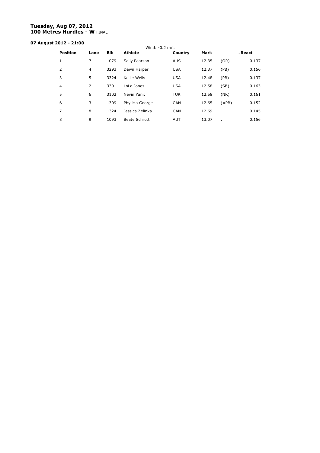### **Tuesday, Aug 07, 2012 100 Metres Hurdles - W** FINAL

# **07 August 2012 - 21:00**

| <b>Position</b> | Lane | <b>Bib</b> | Wind: $-0.2$ m/s<br><b>Athlete</b> | Country    | <b>Mark</b> |         | . React |
|-----------------|------|------------|------------------------------------|------------|-------------|---------|---------|
| 1               | 7    | 1079       | Sally Pearson                      | <b>AUS</b> | 12.35       | (OR)    | 0.137   |
| 2               | 4    | 3293       | Dawn Harper                        | <b>USA</b> | 12.37       | (PB)    | 0.156   |
| 3               | 5    | 3324       | Kellie Wells                       | <b>USA</b> | 12.48       | (PB)    | 0.137   |
| $\overline{4}$  | 2    | 3301       | LoLo Jones                         | <b>USA</b> | 12.58       | (SB)    | 0.163   |
| 5               | 6    | 3102       | Nevin Yanit                        | <b>TUR</b> | 12.58       | (NR)    | 0.161   |
| 6               | 3    | 1309       | Phylicia George                    | <b>CAN</b> | 12.65       | $(=PB)$ | 0.152   |
| 7               | 8    | 1324       | Jessica Zelinka                    | <b>CAN</b> | 12.69       | ٠       | 0.145   |
| 8               | 9    | 1093       | Beate Schrott                      | <b>AUT</b> | 13.07       | ٠       | 0.156   |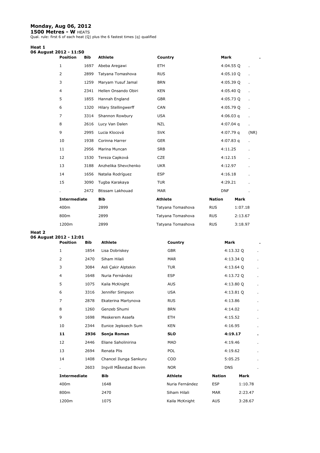#### **Monday, Aug 06, 2012**

**1500 Metres - W** HEATS<br>Qual. rule: first 6 of each heat (Q) plus the 6 fastest times (q) qualified

#### **Heat 1**

| 06 August 2012 - 11:50 |  |
|------------------------|--|

| <b>Position</b>     | <b>Bib</b> | <b>Athlete</b>              | Country           |               | Mark        |         | $\blacksquare$ |
|---------------------|------------|-----------------------------|-------------------|---------------|-------------|---------|----------------|
| $\mathbf{1}$        | 1697       | Abeba Aregawi               | <b>ETH</b>        |               | $4:04.55$ Q |         |                |
| $\overline{2}$      | 2899       | Tatyana Tomashova           | <b>RUS</b>        |               | $4:05.10$ Q |         | Ĭ.             |
| 3                   | 1259       | Maryam Yusuf Jamal          | <b>BRN</b>        |               | 4:05.39 Q   |         |                |
| 4                   | 2341       | Hellen Onsando Obiri        | <b>KEN</b>        |               | 4:05.40 Q   |         | ï              |
| 5                   | 1855       | Hannah England              | <b>GBR</b>        |               | 4:05.73 Q   |         |                |
| 6                   | 1320       | <b>Hilary Stellingwerff</b> | CAN               |               | 4:05.79 Q   |         | Ĭ.             |
| 7                   | 3314       | Shannon Rowbury             | <b>USA</b>        |               | $4:06.03$ q |         | Ĭ.             |
| 8                   | 2616       | Lucy Van Dalen              | NZL               |               | $4:07.04$ q |         |                |
| 9                   | 2995       | Lucia Klocová               | <b>SVK</b>        |               | $4:07.79$ q |         | (NR)           |
| 10                  | 1938       | Corinna Harrer              | <b>GER</b>        |               | 4:07.83 $q$ |         |                |
| 11                  | 2956       | Marina Muncan               | <b>SRB</b>        |               | 4:11.25     |         | Ĭ.             |
| 12                  | 1530       | Tereza Capková              | <b>CZE</b>        |               | 4:12.15     |         | ä.             |
| 13                  | 3188       | Anzhelika Shevchenko        | <b>UKR</b>        |               | 4:12.97     |         | ä.             |
| 14                  | 1656       | Natalia Rodríguez           | <b>ESP</b>        |               | 4:16.18     |         |                |
| 15                  | 3090       | Tugba Karakaya              | <b>TUR</b>        |               | 4:29.21     |         |                |
|                     | 2472       | Btissam Lakhouad            | <b>MAR</b>        |               | <b>DNF</b>  |         |                |
| <b>Intermediate</b> |            | <b>Bib</b>                  | <b>Athlete</b>    | <b>Nation</b> |             | Mark    |                |
| 400m                |            | 2899                        | Tatyana Tomashova | <b>RUS</b>    |             | 1:07.18 |                |
| 800m                |            | 2899                        | Tatyana Tomashova | <b>RUS</b>    |             | 2:13.67 |                |
| 1200m               |            | 2899                        | Tatyana Tomashova | <b>RUS</b>    |             | 3:18.97 |                |
|                     |            |                             |                   |               |             |         |                |

**Heat 2** 

### **06 August 2012 - 12:01**

| <b>Position</b>     | <b>Bib</b> | Athlete                | Country         |               | <b>Mark</b> | $\blacksquare$ |
|---------------------|------------|------------------------|-----------------|---------------|-------------|----------------|
| $\mathbf{1}$        | 1854       | Lisa Dobriskey         | <b>GBR</b>      |               | 4:13.32 Q   | ×.             |
| $\overline{2}$      | 2470       | Siham Hilali           | <b>MAR</b>      |               | 4:13.34 Q   | $\cdot$        |
| 3                   | 3084       | Asli Çakir Alptekin    | <b>TUR</b>      |               | 4:13.64 Q   | ×.             |
| 4                   | 1648       | Nuria Fernández        | <b>ESP</b>      |               | 4:13.72 Q   | $\blacksquare$ |
| 5                   | 1075       | Kaila McKnight         | <b>AUS</b>      |               | 4:13.80 Q   | ×.             |
| 6                   | 3316       | Jennifer Simpson       | <b>USA</b>      |               | 4:13.81Q    | ä,             |
| $\overline{7}$      | 2878       | Ekaterina Martynova    | <b>RUS</b>      |               | 4:13.86     | ×.             |
| 8                   | 1260       | Genzeb Shumi           | <b>BRN</b>      |               | 4:14.02     | ×.             |
| 9                   | 1698       | Meskerem Assefa        | ETH.            |               | 4:15.52     | ×.             |
| 10                  | 2344       | Eunice Jepkoech Sum    | <b>KEN</b>      |               | 4:16.95     | ×.             |
| 11                  | 2936       | Sonja Roman            | <b>SLO</b>      |               | 4:19.17     | $\blacksquare$ |
| 12                  | 2446       | Eliane Saholinirina    | <b>MAD</b>      |               | 4:19.46     | ×.             |
| 13                  | 2694       | Renata Plis            | <b>POL</b>      |               | 4:19.62     | ×.             |
| 14                  | 1408       | Chancel Ilunga Sankuru | COD             |               | 5:05.25     | ×.             |
|                     | 2603       | Ingvill Måkestad Bovim | <b>NOR</b>      |               | <b>DNS</b>  |                |
| <b>Intermediate</b> |            | <b>Bib</b>             | <b>Athlete</b>  | <b>Nation</b> | Mark        |                |
| 400m                |            | 1648                   | Nuria Fernández | <b>ESP</b>    | 1:10.78     |                |
| 800m                |            | 2470                   | Siham Hilali    | <b>MAR</b>    | 2:23.47     |                |
| 1200m               |            | 1075                   | Kaila McKnight  | <b>AUS</b>    | 3:28.67     |                |
|                     |            |                        |                 |               |             |                |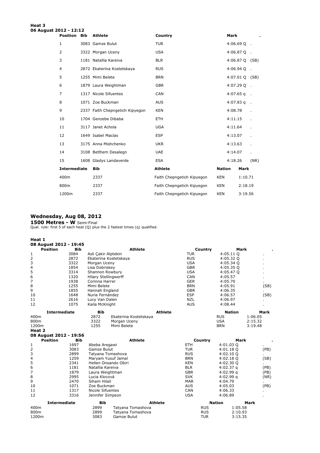#### **Heat 3 06 August 2012 - 12:12**

| <b>Position</b>     | <b>Bib</b> | <b>Athlete</b>                  | Country                    | <b>Mark</b>   |                |      |
|---------------------|------------|---------------------------------|----------------------------|---------------|----------------|------|
| $\mathbf{1}$        |            | 3083 Gamze Bulut                | <b>TUR</b>                 |               | $4:06.69$ Q .  |      |
| 2                   |            | 3322 Morgan Uceny               | <b>USA</b>                 |               | $4:06.87Q$ .   |      |
| 3                   |            | 1181 Natallia Kareiva           | <b>BLR</b>                 |               | 4:06.87 Q (SB) |      |
| $\overline{4}$      |            | 2872 Ekaterina Kostetskaya      | <b>RUS</b>                 |               | $4:06.94$ Q .  |      |
| 5                   |            | 1255 Mimi Belete                | <b>BRN</b>                 |               | 4:07.01 Q (SB) |      |
| 6                   |            | 1879 Laura Weightman            | <b>GBR</b>                 |               | $4:07.29$ Q .  |      |
| 7                   |            | 1317 Nicole Sifuentes           | <b>CAN</b>                 |               | $4:07.65$ q    |      |
| 8                   |            | 1071 Zoe Buckman                | <b>AUS</b>                 |               | $4:07.83$ q    |      |
| 9                   |            | 2337 Faith Chepngetich Kipyegon | <b>KEN</b>                 | 4:08.78       |                |      |
| 10                  |            | 1704 Genzebe Dibaba             | <b>ETH</b>                 | 4:11.15       |                |      |
| 11                  |            | 3117 Janet Achola               | <b>UGA</b>                 | 4:11.64       |                |      |
| 12                  |            | 1649 Isabel Macías              | <b>ESP</b>                 | 4:13.07       |                |      |
| 13                  |            | 3175 Anna Mishchenko            | <b>UKR</b>                 | 4:13.63       |                |      |
| 14                  |            | 3108 Betlhem Desalegn           | <b>UAE</b>                 | 4:14.07       |                | ä.   |
| 15                  |            | 1608 Gladys Landaverde          | <b>ESA</b>                 | 4:18.26       |                | (NR) |
| <b>Intermediate</b> |            | <b>Bib</b>                      | <b>Athlete</b>             | <b>Nation</b> | Mark           |      |
| 400m                |            | 2337                            | Faith Chepngetich Kipyegon | <b>KEN</b>    | 1:10.71        |      |
| 800m                |            | 2337                            | Faith Chepngetich Kipyegon | <b>KEN</b>    | 2:18.19        |      |
| 1200m               |            | 2337                            | Faith Chepngetich Kipyegon | <b>KEN</b>    | 3:19.56        |      |

#### **Wednesday, Aug 08, 2012**

**1500 Metres - W** Semi-Final<br>Qual. rule: first 5 of each heat (Q) plus the 2 fastest times (q) qualified.

**Heat 1** 

|                | 08 August 2012 - 19:45 |            |                             |                       |                |            |               |         |
|----------------|------------------------|------------|-----------------------------|-----------------------|----------------|------------|---------------|---------|
|                | <b>Position</b>        | <b>Bib</b> |                             | <b>Athlete</b>        |                | Country    | Mark          |         |
| 1              |                        | 3084       | Asli Çakir Alptekin         |                       |                | <b>TUR</b> | 4:05.11 Q     |         |
| 2              |                        | 2872       | Ekaterina Kostetskaya       |                       |                | <b>RUS</b> | 4:05.32 Q     |         |
| 3              |                        | 3322       | Morgan Uceny                |                       |                | <b>USA</b> | 4:05.34Q      |         |
| 4              |                        | 1854       | Lisa Dobriskey              |                       |                | <b>GBR</b> | 4:05.35 Q     |         |
| 5              |                        | 3314       | Shannon Rowbury             |                       |                | <b>USA</b> | 4:05.47 Q     |         |
| 6              |                        | 1320       | <b>Hilary Stellingwerff</b> |                       |                | <b>CAN</b> | 4:05.57       |         |
| 7              |                        | 1938       | Corinna Harrer              |                       |                | <b>GER</b> | 4:05.70       |         |
| 8              |                        | 1255       | Mimi Belete                 |                       |                | <b>BRN</b> | 4:05.91       | (SB)    |
| 9              |                        | 1855       | Hannah England              |                       |                | <b>GBR</b> | 4:06.35       |         |
| 10             |                        | 1648       | Nuria Fernández             |                       |                | <b>ESP</b> | 4:06.57       | (SB)    |
| 11             |                        | 2616       | Lucy Van Dalen              |                       |                | <b>NZL</b> | 4:06.97       |         |
| 12             |                        | 1075       | Kaila McKnight              |                       |                | <b>AUS</b> | 4:08.44       |         |
|                | <b>Intermediate</b>    |            | <b>Bib</b>                  |                       | <b>Athlete</b> |            | <b>Nation</b> | Mark    |
| 400m           |                        |            | 2872                        | Ekaterina Kostetskaya |                |            | <b>RUS</b>    | 1:06.05 |
| 800m           |                        |            | 3322                        | Morgan Uceny          |                |            | <b>USA</b>    | 2:15.32 |
| 1200m          |                        |            | 1255                        | Mimi Belete           |                |            | <b>BRN</b>    | 3:19.48 |
| Heat 2         |                        |            |                             |                       |                |            |               |         |
|                | 08 August 2012 - 19:56 |            |                             |                       |                |            |               |         |
|                | <b>Position</b>        | <b>Bib</b> |                             | <b>Athlete</b>        |                | Country    | Mark          |         |
| 1              |                        | 1697       | Abeba Aregawi               |                       |                | <b>ETH</b> | 4:01.03 Q     |         |
| $\overline{2}$ |                        | 3083       | Gamze Bulut                 |                       |                | <b>TUR</b> | 4:01.18Q      | (PB)    |
| 3              |                        | 2899       | Tatyana Tomashova           |                       |                | <b>RUS</b> | 4:02.10 Q     |         |
| 4              |                        | 1259       | Maryam Yusuf Jamal          |                       |                | <b>BRN</b> | 4:02.18 Q     | (SB)    |
| 5              |                        | 2341       | Hellen Onsando Obiri        |                       |                | <b>KEN</b> | 4:02.30 Q     |         |
| 6              |                        | 1181       | Natallia Kareiva            |                       |                | <b>BLR</b> | $4:02.37$ q   | (PB)    |
| 7              |                        | 1879       | Laura Weightman             |                       |                | <b>GBR</b> | 4:02.99q      | (PB)    |
| 8              |                        | 2995       | Lucia Klocová               |                       |                | <b>SVK</b> | 4:02.99q      | (NR)    |
| 9              |                        | 2470       | Siham Hilali                |                       |                | <b>MAR</b> | 4:04.79       |         |
| 10             |                        | 1071       | Zoe Buckman                 |                       |                | <b>AUS</b> | 4:05.03       | (PB)    |
| 11             |                        | 1317       | <b>Nicole Sifuentes</b>     |                       |                | <b>CAN</b> | 4:06.33       |         |
| 12             |                        | 3316       | Jennifer Simpson            |                       |                | <b>USA</b> | 4:06.89       |         |
|                | <b>Intermediate</b>    |            | <b>Bib</b>                  |                       | <b>Athlete</b> |            | <b>Nation</b> | Mark    |
| 400m           |                        |            | 2899                        | Tatyana Tomashova     |                | <b>RUS</b> | 1:05.58       |         |
| 800m           |                        |            | 2899                        | Tatyana Tomashova     |                | <b>RUS</b> | 2:10.93       |         |
| 1200m          |                        |            | 3083                        | Gamze Bulut           |                | <b>TUR</b> | 3:15.35       |         |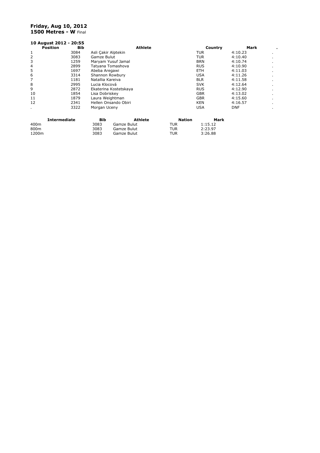#### **Friday, Aug 10, 2012 1500 Metres - W** Final

|      | 10 August 2012 - 20:55 |                     |                       |                |               |            |            |                |
|------|------------------------|---------------------|-----------------------|----------------|---------------|------------|------------|----------------|
|      | <b>Position</b><br>Bib |                     |                       | Athlete        |               | Country    | Mark       | ٠              |
| 1    | 3084                   | Asli Cakir Alptekin |                       |                |               | TUR        | 4:10.23    | $\blacksquare$ |
| 2    | 3083                   | Gamze Bulut         |                       |                |               | TUR        | 4:10.40    | ٠              |
| 3    | 1259                   |                     | Maryam Yusuf Jamal    |                |               | <b>BRN</b> | 4:10.74    | $\blacksquare$ |
| 4    | 2899                   |                     | Tatyana Tomashova     |                |               | <b>RUS</b> | 4:10.90    |                |
| 5    | 1697                   | Abeba Aregawi       |                       |                |               | ETH.       | 4:11.03    |                |
| 6    | 3314                   | Shannon Rowbury     |                       |                |               | USA        | 4:11.26    | $\blacksquare$ |
| 7    | 1181                   | Natallia Kareiva    |                       |                |               | <b>BLR</b> | 4:11.58    | $\blacksquare$ |
| 8    | 2995                   | Lucia Klocová       |                       |                |               | <b>SVK</b> | 4:12.64    |                |
| 9    | 2872                   |                     | Ekaterina Kostetskaya |                |               | <b>RUS</b> | 4:12.90    | $\blacksquare$ |
| 10   | 1854                   | Lisa Dobriskey      |                       |                |               | <b>GBR</b> | 4:13.02    | $\blacksquare$ |
| 11   | 1879                   | Laura Weightman     |                       |                |               | <b>GBR</b> | 4:15.60    | $\blacksquare$ |
| 12   | 2341                   |                     | Hellen Onsando Obiri  |                |               | KEN        | 4:16.57    |                |
| ٠    | 3322                   | Morgan Uceny        |                       |                |               | USA        | <b>DNF</b> |                |
|      | <b>Intermediate</b>    | <b>Bib</b>          |                       | <b>Athlete</b> | <b>Nation</b> | Mark       |            |                |
| 400m |                        | 3083                | Gamze Bulut           |                | TUR           | 1:15.12    |            |                |

800m 3083 Gamze Bulut TUR 2:23.97 1200m 3083 Gamze Bulut TUR 3:26.88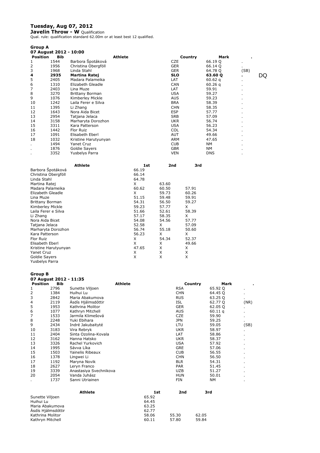#### **Tuesday, Aug 07, 2012**

**Javelin Throw - W** Qualification Qual. rule: qualification standard 62.00m or at least best 12 qualified.

| <b>Group A</b>  |                        |                      |                |     |            |                    |                |    |
|-----------------|------------------------|----------------------|----------------|-----|------------|--------------------|----------------|----|
|                 | 07 August 2012 - 10:00 |                      |                |     |            |                    |                |    |
| <b>Position</b> | <b>Bib</b>             |                      | <b>Athlete</b> |     | Country    | Mark               |                |    |
| 1               | 1544                   | Barbora Špotáková    |                |     | <b>CZE</b> | 66.19 Q            | $\blacksquare$ |    |
| 2               | 1956                   | Christina Obergföll  |                |     | <b>GER</b> | 66.14 Q            |                |    |
| 3               | 1968                   | Linda Stahl          |                |     | <b>GER</b> | 64.78 Q            | (SB)           |    |
| $\overline{4}$  | 2935                   | <b>Martina Ratej</b> |                |     | <b>SLO</b> | 63.60 Q            | ٠.             | DQ |
| 5               | 2405                   | Madara Palameika     |                |     | <b>LAT</b> | 60.62 <sub>q</sub> | $\blacksquare$ |    |
| 6               | 1310                   | Elizabeth Gleadle    |                |     | <b>CAN</b> | 60.26q             |                |    |
| 7               | 2403                   | Lina Muze            |                |     | LAT        | 59.91              | $\blacksquare$ |    |
| 8               | 3270                   | Brittany Borman      |                |     | <b>USA</b> | 59.27              | $\blacksquare$ |    |
| 9               | 1076                   | Kimberley Mickle     |                |     | <b>AUS</b> | 59.23              |                |    |
| 10              | 1242                   | Laila Ferer e Silva  |                |     | <b>BRA</b> | 58.39              | $\blacksquare$ |    |
| 11              | 1395                   | Li Zhang             |                |     | <b>CHN</b> | 58.35              |                |    |
| 12              | 1643                   | Nora Aida Bicet      |                |     | <b>ESP</b> | 57.77              | $\blacksquare$ |    |
| 13              | 2954                   | Tatjana Jelaca       |                |     | <b>SRB</b> | 57.09              |                |    |
| 14              | 3158                   | Marharyta Dorozhon   |                |     | <b>UKR</b> | 56.74              |                |    |
| 15              | 3311                   | Kara Patterson       |                |     | <b>USA</b> | 56.23              | $\blacksquare$ |    |
| 16              | 1442                   | Flor Ruiz            |                |     | <b>COL</b> | 54.34              | $\blacksquare$ |    |
| 17              | 1091                   | Elisabeth Eberl      |                |     | <b>AUT</b> | 49.66              | $\blacksquare$ |    |
| 18              | 1032                   | Kristine Harutyunyan |                |     | <b>ARM</b> | 47.65              |                |    |
| ٠               | 1494                   | Yanet Cruz           |                |     | <b>CUB</b> | NM                 | $\blacksquare$ |    |
|                 | 1876                   | Goldie Sayers        |                |     | <b>GBR</b> | NΜ                 |                |    |
| ٠               | 3352                   | Yusbelys Parra       |                |     | <b>VEN</b> | <b>DNS</b>         | $\blacksquare$ |    |
|                 |                        | <b>Athlete</b>       |                | 1st | 2nd<br>3rd |                    |                |    |

| 66.19 |       |       |
|-------|-------|-------|
| 66.14 |       |       |
| 64.78 |       |       |
| X     | 63.60 |       |
| 60.62 | 60.50 | 57.91 |
| X     | 59.73 | 60.26 |
| 51.15 | 59.48 | 59.91 |
| 54.31 | 56.50 | 59.27 |
| 59.23 | 57.77 | X     |
| 51.66 | 52.61 | 58.39 |
| 57.17 | 58.35 | X     |
| 54.08 | 54.56 | 57.77 |
| 52.58 | X.    | 57.09 |
| 56.74 | 55.18 | 50.60 |
| 56.23 | X     | X     |
| X     | 54.34 | 52.37 |
| X     | X     | 49.66 |
| 47.65 | X     | X     |
| X     | X     | X     |
| X     | Χ     | X     |
|       |       |       |
|       |       |       |

#### **Group B**

| urvup b          |                        |                        |                |       |                 |                    |      |
|------------------|------------------------|------------------------|----------------|-------|-----------------|--------------------|------|
|                  | 07 August 2012 - 11:35 |                        |                |       |                 |                    |      |
| <b>Position</b>  | <b>Bib</b>             |                        | <b>Athlete</b> |       | Country         | Mark               |      |
| 1                | 2796                   | Sunette Viljoen        |                |       | <b>RSA</b>      | 65.92 Q            |      |
| 2                | 1384                   | Huihui Lu              |                |       | <b>CHN</b>      | 64.45 Q            |      |
| 3                | 2842                   | Maria Abakumova        |                |       | <b>RUS</b>      | 63.25 Q            |      |
| 4                | 2119                   | Ásdís Hjálmsdóttir     |                |       | <b>ISL</b>      | 62.77 Q            | (NR) |
| 5                | 1953                   | Kathrina Molitor       |                |       | <b>GER</b>      | 62.05 Q            |      |
| 6                | 1077                   | Kathryn Mitchell       |                |       | <b>AUS</b>      | 60.11 <sub>a</sub> |      |
| 7                | 1533                   | Jarmila Klimešová      |                |       | <b>CZE</b>      | 59.90              |      |
| 8                | 2248                   | Yuki Ebihara           |                |       | <b>JPN</b>      | 59.25              | ٠    |
| 9                | 2434                   | Indré Jakubaityté      |                |       | LTU             | 59.05              | (SB) |
| 10               | 3183                   | Vira Rebryk            |                |       | <b>UKR</b>      | 58.97              |      |
| 11               | 2404                   | Sinta Ozolina-Kovala   |                |       | LAT             | 58.86              |      |
| 12               | 3162                   | Hanna Hatsko           |                |       | <b>UKR</b>      | 58.37              |      |
| 13               | 3326                   | Rachel Yurkovich       |                |       | <b>USA</b>      | 57.92              |      |
| 14               | 1995                   | Sávva Líka             |                |       | <b>GRE</b>      | 57.06              |      |
| 15               | 1503                   | Yainelis Ribeaux       |                |       | <b>CUB</b>      | 56.55              |      |
| 16               | 1378                   | Lingwei Li             |                |       | <b>CHN</b>      | 56.50              |      |
| 17               | 1192                   | Maryna Novik           |                |       | <b>BLR</b>      | 54.31              |      |
| 18               | 2627                   | Leryn Franco           |                |       | <b>PAR</b>      | 51.45              |      |
| 19               | 3339                   | Anastasiya Svechnikova |                |       | <b>UZB</b>      | 51.27              |      |
| 20               | 2054                   | Vanda Juhász           |                |       | <b>HUN</b>      | 50.01              |      |
|                  | 1737                   | Sanni Utriainen        |                |       | <b>FIN</b>      | <b>NM</b>          |      |
|                  |                        | <b>Athlete</b>         |                | 1st   | 2 <sub>nd</sub> | 3rd                |      |
| Sunette Viljoen  |                        |                        |                | 65.92 |                 |                    |      |
| Huihui Lu        |                        |                        |                | 64.45 |                 |                    |      |
| Maria Abakumova  |                        |                        |                | 63.25 |                 |                    |      |
|                  | Ásdís Hjálmsdóttir     |                        |                | 62.77 |                 |                    |      |
| Kathrina Molitor |                        |                        |                | 58.06 | 55.30           | 62.05              |      |

Kathryn Mitchell 60.11 57.80 59.84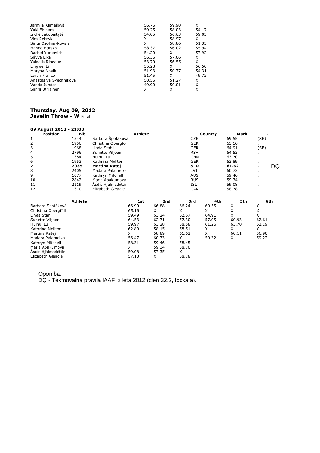| Jarmila Klimešová      | 56.76 | 59.90 | X     |
|------------------------|-------|-------|-------|
| Yuki Ebihara           | 59.25 | 58.03 | 54.17 |
| Indré Jakubaityté      | 54.05 | 56.63 | 59.05 |
| Vira Rebryk            | X     | 58.97 | X     |
| Sinta Ozolina-Kovala   | X     | 58.86 | 51.35 |
| Hanna Hatsko           | 58.37 | 56.02 | 55.94 |
| Rachel Yurkovich       | 54.20 | х     | 57.92 |
| Sávva Líka             | 56.36 | 57.06 | X     |
| Yainelis Ribeaux       | 53.70 | 56.55 | X     |
| Lingwei Li             | 55.28 | x     | 56.50 |
| Maryna Novik           | 51.93 | 50.77 | 54.31 |
| Leryn Franco           | 51.45 | x     | 49.72 |
| Anastasiya Svechnikova | 50.56 | 51.27 | X     |
| Vanda Juhász           | 49.90 | 50.01 | X     |
| Sanni Utriainen        | x     | x     | X     |

### **Thursday, Aug 09, 2012**

**Javelin Throw - W** Final

| <b>Position</b> | <b>Bib</b>     |                      | <b>Athlete</b> |     | Country    | <b>Mark</b> |                |    |
|-----------------|----------------|----------------------|----------------|-----|------------|-------------|----------------|----|
| 1               | 1544           | Barbora Špotáková    |                |     | <b>CZE</b> | 69.55       | (SB)           |    |
| $\overline{2}$  | 1956           | Christina Obergföll  |                |     | <b>GER</b> | 65.16       | $\blacksquare$ |    |
| 3               | 1968           | Linda Stahl          |                |     | <b>GER</b> | 64.91       | (SB)           |    |
| 4               | 2796           | Sunette Viljoen      |                |     | <b>RSA</b> | 64.53       | $\blacksquare$ |    |
| 5               | 1384           | Huihui Lu            |                |     | <b>CHN</b> | 63.70       | $\blacksquare$ |    |
| 6               | 1953           | Kathrina Molitor     |                |     | <b>GER</b> | 62.89       |                |    |
| 7               | 2935           | <b>Martina Ratei</b> |                |     | <b>SLO</b> | 61.62       |                | DQ |
| 8               | 2405           | Madara Palameika     |                |     | LAT        | 60.73       | $\blacksquare$ |    |
| 9               | 1077           | Kathryn Mitchell     |                |     | <b>AUS</b> | 59.46       | $\blacksquare$ |    |
| 10              | 2842           | Maria Abakumova      |                |     | <b>RUS</b> | 59.34       |                |    |
| 11              | 2119           | Ásdís Hjálmsdóttir   |                |     | <b>ISL</b> | 59.08       | $\blacksquare$ |    |
| 12              | 1310           | Elizabeth Gleadle    |                |     | CAN        | 58.78       |                |    |
|                 | <b>Athlete</b> |                      | 1st            | 2nd | 3rd        | 4th<br>5th  | 6th            |    |

| Athlete             | 1st   | 2nd   | 3rd   | 4th   | 5th   | 6th   |
|---------------------|-------|-------|-------|-------|-------|-------|
| Barbora Špotáková   | 66.90 | 66.88 | 66.24 | 69.55 | X     | X     |
| Christina Obergföll | 65.16 | X     | X     | x     | X     | X     |
| Linda Stahl         | 59.49 | 63.24 | 62.67 | 64.91 | X     | X     |
| Sunette Viljoen     | 64.53 | 62.71 | 57.30 | 57.05 | 60.93 | 62.61 |
| Huihui Lu           | 59.97 | 63.28 | 58.58 | 61.26 | 63.70 | 62.19 |
| Kathrina Molitor    | 62.89 | 58.15 | 58.51 | х     | X     | X     |
| Martina Ratej       | x     | 58.89 | 61.62 | X     | 60.11 | 56.90 |
| Madara Palameika    | 56.47 | 60.73 | X.    | 59.32 | X     | 59.22 |
| Kathryn Mitchell    | 58.31 | 59.46 | 58.45 |       |       |       |
| Maria Abakumova     | x     | 59.34 | 58.70 |       |       |       |
| Ásdís Hjálmsdóttir  | 59.08 | 57.35 | X     |       |       |       |
| Elizabeth Gleadle   | 57.10 | x     | 58.78 |       |       |       |

Opomba: DQ - Tekmovalna pravila IAAF iz leta 2012 (clen 32.2, tocka a).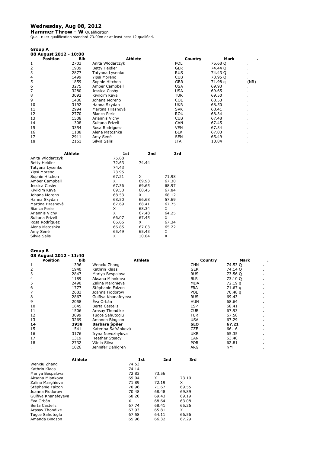# **Wednesday, Aug 08, 2012**

**Hammer Throw - W** Qualification<br>Qual. rule: qualification standard 73.00m or at least best 12 qualified.

| Group A                |      |                      |            |         |      |
|------------------------|------|----------------------|------------|---------|------|
| 08 August 2012 - 10:00 |      |                      |            |         |      |
| <b>Position</b>        | Bib  | Athlete              | Country    | Mark    |      |
| 1                      | 2703 | Anita Wlodarczyk     | <b>POL</b> | 75.68 Q |      |
| $\overline{2}$         | 1939 | <b>Betty Heidler</b> | <b>GER</b> | 74.44 Q |      |
| 3                      | 2877 | Tatyana Lysenko      | <b>RUS</b> | 74.43 Q |      |
| 4                      | 1499 | Yipsi Moreno         | <b>CUB</b> | 73.95 Q | ٠.   |
| 5                      | 1859 | Sophie Hitchon       | <b>GBR</b> | 71.98 g | (NR) |
| 6                      | 3275 | Amber Campbell       | <b>USA</b> | 69.93   |      |
| 7                      | 3280 | Jessica Cosby        | <b>USA</b> | 69.65   | ٠    |
| 8                      | 3092 | Kivilcim Kaya        | <b>TUR</b> | 69.50   |      |
| 9                      | 1436 | Johana Moreno        | <b>COL</b> | 68.53   | ٠    |
| 10                     | 3192 | Hanna Skydan         | <b>UKR</b> | 68.50   |      |
| 11                     | 2994 | Martina Hrasnová     | <b>SVK</b> | 68.41   |      |
| 12                     | 2770 | Bianca Perie         | <b>ROU</b> | 68.34   |      |
| 13                     | 1508 | Ariannis Vichy       | <b>CUB</b> | 67.48   |      |
| 14                     | 1308 | Sultana Frizell      | <b>CAN</b> | 67.45   |      |
| 15                     | 3354 | Rosa Rodríguez       | <b>VEN</b> | 67.34   |      |
| 16                     | 1188 | Alena Matoshka       | <b>BLR</b> | 67.03   |      |
| 17                     | 2911 | Amy Séné             | <b>SEN</b> | 65.49   |      |
| 18                     | 2161 | Silvia Salis         | <b>ITA</b> | 10.84   |      |
|                        |      |                      |            |         |      |

| Athlete          | 1st   | 2nd   | 3rd   |
|------------------|-------|-------|-------|
| Anita Wlodarczyk | 75.68 |       |       |
| Betty Heidler    | 72.63 | 74.44 |       |
| Tatyana Lysenko  | 74.43 |       |       |
| Yipsi Moreno     | 73.95 |       |       |
| Sophie Hitchon   | 67.21 | X     | 71.98 |
| Amber Campbell   | X     | 69.93 | 67.30 |
| Jessica Cosby    | 67.36 | 69.65 | 68.97 |
| Kivilcim Kaya    | 69.50 | 68.45 | 67.84 |
| Johana Moreno    | 68.53 | x     | 68.12 |
| Hanna Skydan     | 68.50 | 66.68 | 57.69 |
| Martina Hrasnová | 67.69 | 68.41 | 67.75 |
| Bianca Perie     | x     | 68.34 | x     |
| Ariannis Vichy   | x     | 67.48 | 64.25 |
| Sultana Frizell  | 66.07 | 67.45 | x     |
| Rosa Rodríguez   | 66.66 | X     | 67.34 |
| Alena Matoshka   | 66.85 | 67.03 | 65.22 |
| Amy Séné         | 65.49 | 65.43 | X     |
| Silvia Salis     | Χ     | 10.84 | Χ     |

#### **Group B**

**08 August 2012 - 11:40** 

| <b>Position</b> | <b>Bib</b> | <b>Athlete</b>        | Country    | <b>Mark</b> |  |
|-----------------|------------|-----------------------|------------|-------------|--|
| 1               | 1396       | Wenxiu Zhang          | <b>CHN</b> | 74.53 Q     |  |
| 2               | 1940       | Kathrin Klaas         | <b>GER</b> | 74.14 Q     |  |
| 3               | 2847       | Mariya Bespalova      | <b>RUS</b> | 73.56 Q     |  |
| 4               | 1189       | Aksana Miankova       | <b>BLR</b> | 73.10 Q     |  |
| 5               | 2490       | Zalina Marghieva      | <b>MDA</b> | 72.19 g     |  |
| 6               | 1777       | Stéphanie Falzon      | <b>FRA</b> | 71.67 g     |  |
|                 | 2683       | Joanna Fiodorow       | POL        | 70.48 g     |  |
| 8               | 2867       | Gulfiya Khanafeyeva   | <b>RUS</b> | 69.43       |  |
| 9               | 2058       | Éva Orbán             | <b>HUN</b> | 68.64       |  |
| 10              | 1645       | <b>Berta Castells</b> | <b>ESP</b> | 68.41       |  |
| 11              | 1506       | Arasay Thondike       | <b>CUB</b> | 67.93       |  |
| 12              | 3099       | Tugce Sahutoglu       | TUR        | 67.58       |  |
| 13              | 3269       | Amanda Bingson        | <b>USA</b> | 67.29       |  |
| 14              | 2938       | <b>Barbara Spiler</b> | <b>SLO</b> | 67.21       |  |
| 15              | 1541       | Katerina Šafránková   | <b>CZE</b> | 66.16       |  |
| 16              | 3176       | Iryna Novozhylova     | <b>UKR</b> | 65.35       |  |
| 17              | 1319       | <b>Heather Steacy</b> | <b>CAN</b> | 63.40       |  |
| 18              | 2732       | Vânia Silva           | <b>POR</b> | 62.81       |  |
|                 | 1026       | Jennifer Dahlgren     | ARG        | NΜ          |  |

| 1st   | 2nd   | 3rd   |
|-------|-------|-------|
| 74.53 |       |       |
| 74.14 |       |       |
| 72.83 | 73.56 |       |
| 69.04 | x     | 73.10 |
| 71.89 | 72.19 | x     |
| 70.96 | 71.67 | 69.55 |
| 70.48 | 68.48 | 69.89 |
| 68.20 | 69.43 | 69.19 |
| x     | 68.64 | 63.08 |
| 67.74 | 68.41 | 65.26 |
| 67.93 | 65.81 | x     |
| 67.58 | 64.11 | 66.56 |
| 65.96 | 66.32 | 67.29 |
|       |       |       |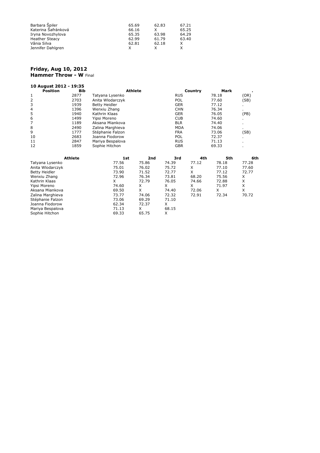| Barbara Špiler        | 65.69 | 62.83 | 67.21 |
|-----------------------|-------|-------|-------|
| Katerina Šafránková   | 66.16 |       | 65.25 |
| Iryna Novozhylova     | 65.35 | 63.98 | 64.29 |
| <b>Heather Steacy</b> | 62.99 | 61.79 | 63.40 |
| Vânia Silva           | 62.81 | 62.18 |       |
| Jennifer Dahlgren     |       |       |       |

Sophie Hitchon 69.33 65.75 X

#### **Friday, Aug 10, 2012 Hammer Throw - W** Final

| 10 August 2012 - 19:35 |                |                      |                |            |         |       |       |
|------------------------|----------------|----------------------|----------------|------------|---------|-------|-------|
| <b>Position</b>        | Bib            |                      | <b>Athlete</b> |            | Country | Mark  |       |
| 1                      | 2877           | Tatyana Lysenko      |                | <b>RUS</b> |         | 78.18 | (OR)  |
| 2                      | 2703           | Anita Wlodarczyk     |                | POL        |         | 77.60 | (SB)  |
| 3                      | 1939           | <b>Betty Heidler</b> |                | <b>GER</b> |         | 77.12 |       |
| 4                      | 1396           | Wenxiu Zhang         |                | <b>CHN</b> |         | 76.34 | ٠.    |
| 5                      | 1940           | Kathrin Klaas        |                | <b>GER</b> |         | 76.05 | (PB)  |
| 6                      | 1499           | Yipsi Moreno         |                | <b>CUB</b> |         | 74.60 |       |
| 7                      | 1189           | Aksana Miankova      |                | <b>BLR</b> |         | 74.40 | ٠     |
| 8                      | 2490           | Zalina Marghieva     |                | <b>MDA</b> |         | 74.06 |       |
| 9                      | 1777           | Stéphanie Falzon     |                | <b>FRA</b> |         | 73.06 | (SB)  |
| 10                     | 2683           | Joanna Fiodorow      |                | <b>POL</b> |         | 72.37 |       |
| 11                     | 2847           | Mariya Bespalova     |                | <b>RUS</b> |         | 71.13 | ٠     |
| 12                     | 1859           | Sophie Hitchon       |                | <b>GBR</b> |         | 69.33 | ٠     |
|                        | <b>Athlete</b> | 1st                  | 2nd            | 3rd        | 4th     | 5th   | 6th   |
| Tatyana Lysenko        |                | 77.56                | 75.86          | 74.39      | 77.12   | 78.18 | 77.28 |
| Anita Wlodarczyk       |                | 75.01                | 76.02          | 75.72      | X       | 77.10 | 77.60 |
| <b>Betty Heidler</b>   |                | 73.90                | 71.52          | 72.77      | X       | 77.12 | 72.77 |
| Wenxiu Zhang           |                | 72.96                | 76.34          | 73.81      | 68.20   | 75.56 | X     |
| Kathrin Klaas          |                | X                    | 72.79          | 76.05      | 74.66   | 72.88 | X     |
| Yipsi Moreno           |                | 74.60                | X              | X          | X       | 71.97 | X     |
| Aksana Miankova        |                | 69.50                | X              | 74.40      | 72.06   | X     | X     |
| Zalina Marghieva       |                | 73.77                | 74.06          | 72.32      | 72.91   | 72.34 | 70.72 |
| Stéphanie Falzon       |                | 73.06                | 69.29          | 71.10      |         |       |       |
| Joanna Fiodorow        |                | 62.34                | 72.37          | X          |         |       |       |
| Mariya Bespalova       |                | 71.13                | X              | 68.15      |         |       |       |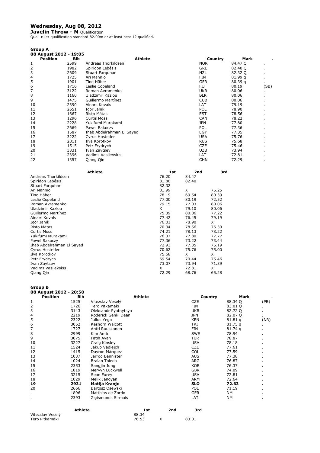# **Wednesday, Aug 08, 2012**

**Javelin Throw - M** Qualification Qual. rule: qualification standard 82.00m or at least best 12 qualified.

| <b>Group A</b>         |      |                           |                |            |         |      |
|------------------------|------|---------------------------|----------------|------------|---------|------|
| 08 August 2012 - 19:05 |      |                           |                |            |         |      |
| <b>Position</b>        | Bib  |                           | <b>Athlete</b> | Country    | Mark    |      |
|                        | 2599 | Andreas Thorkildsen       |                | <b>NOR</b> | 84.47 Q |      |
| 2                      | 1982 | Spirídon Lebésis          |                | <b>GRE</b> | 82.40 Q |      |
| 3                      | 2609 | Stuart Farquhar           |                | NZL        | 82.32 Q |      |
| 4                      | 1725 | Ari Mannio                |                | FIN        | 81.99 q |      |
| 5                      | 1901 | Tino Häber                |                | GER        | 80.39q  |      |
| 6                      | 1716 | Leslie Copeland           |                | FIJ        | 80.19   | (SB) |
| 7                      | 3122 | Roman Avramenko           |                | <b>UKR</b> | 80.06   |      |
| 8                      | 1160 | Uladzimir Kazlou          |                | <b>BLR</b> | 80.06   |      |
| 9                      | 1475 | Guillermo Martínez        |                | <b>CUB</b> | 80.06   |      |
| 10                     | 2390 | Ainars Kovals             |                | LAT        | 79.19   |      |
| 11                     | 2651 | Igor Janik                |                | POL        | 78.90   |      |
| 12                     | 1667 | Risto Mätas               |                | <b>EST</b> | 78.56   |      |
| 13                     | 1296 | <b>Curtis Moss</b>        |                | <b>CAN</b> | 78.22   |      |
| 14                     | 2228 | Yukifumi Murakami         |                | <b>JPN</b> | 77.80   |      |
| 15                     | 2669 | Pawel Rakoczy             |                | <b>POL</b> | 77.36   |      |
| 16                     | 1587 | Ihab Abdelrahman El Sayed |                | EGY        | 77.35   |      |
| 17                     | 3222 | Cyrus Hostetler           |                | <b>USA</b> | 75.76   |      |
| 18                     | 2811 | Ilya Korotkov             |                | <b>RUS</b> | 75.68   |      |
| 19                     | 1515 | Petr Frydrych             |                | <b>CZE</b> | 75.46   |      |
| 20                     | 3331 | Ivan Zaytsev              |                | <b>UZB</b> | 73.94   |      |
| 21                     | 2396 | Vadims Vasilevskis        |                | LAT        | 72.81   |      |
| 22                     | 1357 | Qiang Qin                 |                | <b>CHN</b> | 72.29   |      |

| <b>Athlete</b>            | 1st   | 2nd   | 3rd   |
|---------------------------|-------|-------|-------|
| Andreas Thorkildsen       | 76.20 | 84.47 |       |
| Spirídon Lebésis          | 81.80 | 82.40 |       |
| Stuart Farguhar           | 82.32 |       |       |
| Ari Mannio                | 81.99 | X     | 76.25 |
| Tino Häber                | 78.19 | 69.54 | 80.39 |
| Leslie Copeland           | 77.00 | 80.19 | 72.52 |
| Roman Avramenko           | 79.15 | 77.03 | 80.06 |
| Uladzimir Kazlou          | X     | 79.10 | 80.06 |
| Guillermo Martínez        | 75.39 | 80.06 | 77.22 |
| Ainars Kovals             | 77.42 | 76.45 | 79.19 |
| Igor Janik                | 76.01 | 78.90 | X     |
| Risto Mätas               | 70.34 | 78.56 | 76.30 |
| <b>Curtis Moss</b>        | 74.21 | 78.13 | 78.22 |
| Yukifumi Murakami         | 76.37 | 77.80 | 77.77 |
| Pawel Rakoczy             | 77.36 | 73.22 | 73.44 |
| Ihab Abdelrahman El Sayed | 72.93 | 77.35 | 75.19 |
| Cyrus Hostetler           | 70.62 | 75.76 | 75.00 |
| Ilya Korotkov             | 75.68 | X     | X     |
| Petr Frydrych             | 69.54 | 70.44 | 75.46 |
| Ivan Zaytsev              | 73.07 | 73.94 | 71.39 |
| Vadims Vasilevskis        | X     | 72.81 | X     |
| Qiang Qin                 | 72.29 | 68.76 | 65.28 |

#### **Group B**

| 08 August 2012 - 20:50  |                |                      |                |     |            |                    |      |
|-------------------------|----------------|----------------------|----------------|-----|------------|--------------------|------|
| <b>Position</b>         | Bib            |                      | <b>Athlete</b> |     | Country    | Mark               |      |
| 1                       | 1525           | Vítezslav Veselý     |                |     | <b>CZE</b> | 88.34 Q            | (PB) |
| $\overline{\mathbf{c}}$ | 1726           | Tero Pitkämäki       |                |     | FIN        | 83.01 Q            |      |
| 3                       | 3143           | Oleksandr Pyatnytsya |                |     | <b>UKR</b> | 82.72 Q            |      |
| 4                       | 2219           | Roderick Genki Dean  |                |     | JPN        | 82.07 Q            |      |
| 5                       | 2322           | Julius Yego          |                |     | <b>KEN</b> | 81.81q             | (NR) |
| 6                       | 3052           | Keshorn Walcott      |                |     | TRI        | 81.75q             |      |
| 7                       | 1727           | Antti Ruuskanen      |                |     | FIN        | 81.74 <sub>q</sub> |      |
| 8                       | 2999           | Kim Amb              |                |     | <b>SWE</b> | 78.94              |      |
| 9                       | 3075           | Fatih Avan           |                |     | TUR        | 78.87              |      |
| 10                      | 3227           | Craig Kinsley        |                |     | <b>USA</b> | 78.18              | ٠    |
| 11                      | 1524           | Jakub Vadlejch       |                |     | <b>CZE</b> | 77.61              |      |
| 12                      | 1415           | Dayron Márquez       |                |     | <b>COL</b> | 77.59              |      |
| 13                      | 1037           | Jarrod Bannister     |                |     | <b>AUS</b> | 77.38              |      |
| 14                      | 1024           | <b>Braian Toledo</b> |                |     | ARG        | 76.87              |      |
| 15                      | 2353           | Sangjin Jung         |                |     | <b>KOR</b> | 76.37              |      |
| 16                      | 1819           | Mervyn Luckwell      |                |     | <b>GBR</b> | 74.09              | ٠    |
| 17                      | 3215           | Sean Furey           |                |     | <b>USA</b> | 72.81              | ٠    |
| 18                      | 1029           | Melik Janoyan        |                |     | <b>ARM</b> | 72.64              |      |
| 19                      | 2931           | Matija Kranjc        |                |     | <b>SLO</b> | 72.63              | ٠    |
| 20                      | 2666           | Bartosz Osewski      |                |     | POL        | 71.19              | ٠    |
| ٠                       | 1896           | Matthias de Zordo    |                |     | <b>GER</b> | NM                 |      |
| ٠                       | 2393           | Zigismunds Sirmais   |                |     | LAT        | <b>NM</b>          |      |
|                         | <b>Athlete</b> |                      | 1st            | 2nd | 3rd        |                    |      |

|                  | . | ----- | ----- |       |
|------------------|---|-------|-------|-------|
| Vítezslav Veselý |   | 88.34 |       |       |
| Tero Pitkämäki   |   | 76.53 |       | 83.01 |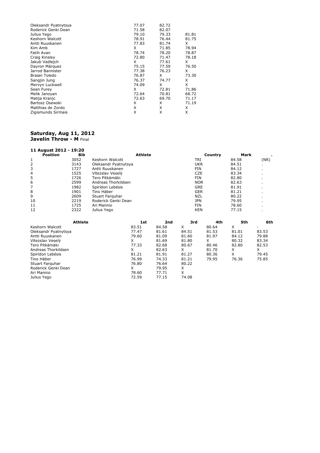| Oleksandr Pyatnytsya | 77.07 | 82.72 |       |
|----------------------|-------|-------|-------|
| Roderick Genki Dean  | 71.58 | 82.07 |       |
| Julius Yego          | 79.10 | 79.33 | 81.81 |
| Keshorn Walcott      | 78.91 | 76.44 | 81.75 |
| Antti Ruuskanen      | 77.83 | 81.74 | X     |
| Kim Amb              | X     | 71.85 | 78.94 |
| Fatih Avan           | 78.74 | 78.20 | 78.87 |
| Craig Kinsley        | 72.80 | 71.47 | 78.18 |
| Jakub Vadlejch       | X     | 77.61 | X     |
| Dayron Márquez       | 75.15 | 77.59 | 76.50 |
| Jarrod Bannister     | 77.38 | 76.23 | X     |
| <b>Braian Toledo</b> | 76.87 | X     | 73.30 |
| Sangjin Jung         | 76.37 | 74.77 | X     |
| Mervyn Luckwell      | 74.09 | X     | X     |
| Sean Furey           | x     | 72.81 | 71.86 |
| Melik Janoyan        | 72.64 | 70.81 | 68.72 |
| Matija Kranjc        | 72.63 | 69.70 | 71.17 |
| Bartosz Osewski      | X     | X     | 71.19 |
| Matthias de Zordo    | X     | X     | X     |
| Zigismunds Sirmais   | X     | X     | X     |

#### **Saturday, Aug 11, 2012 Javelin Throw - M** Final

| 11 August 2012 - 19:20 |                |                      |                |       |            |         |       |       |
|------------------------|----------------|----------------------|----------------|-------|------------|---------|-------|-------|
| <b>Position</b>        | <b>Bib</b>     |                      | <b>Athlete</b> |       |            | Country | Mark  |       |
| 1                      | 3052           | Keshorn Walcott      |                |       | <b>TRI</b> |         | 84.58 | (NR)  |
| 2                      | 3143           | Oleksandr Pyatnytsya |                |       | <b>UKR</b> |         | 84.51 |       |
| 3                      | 1727           | Antti Ruuskanen      |                |       | <b>FIN</b> |         | 84.12 |       |
|                        | 1525           | Vítezslav Veselý     |                |       | <b>CZE</b> |         | 83.34 |       |
| $\frac{4}{5}$          | 1726           | Tero Pitkämäki       |                |       | <b>FIN</b> |         | 82.80 |       |
| 6                      | 2599           | Andreas Thorkildsen  |                |       | <b>NOR</b> |         | 82.63 |       |
| 7                      | 1982           | Spirídon Lebésis     |                |       | GRE        |         | 81.91 |       |
| 8                      | 1901           | Tino Häber           |                |       | <b>GER</b> |         | 81.21 |       |
| 9                      | 2609           | Stuart Farguhar      |                |       | <b>NZL</b> |         | 80.22 |       |
| 10                     | 2219           | Roderick Genki Dean  |                |       | <b>JPN</b> |         | 79.95 |       |
| 11                     | 1725           | Ari Mannio           |                |       | <b>FIN</b> |         | 78.60 |       |
| 12                     | 2322           | Julius Yego          |                |       | <b>KEN</b> |         | 77.15 |       |
|                        |                |                      |                |       |            |         |       |       |
|                        | <b>Athlete</b> |                      | 1st            | 2nd   | 3rd        | 4th     | 5th   | 6th   |
| Keshorn Walcott        |                |                      | 83.51          | 84.58 | X          | 80.64   | X     | ۰     |
| Oleksandr Pyatnytsya   |                |                      | 77.47          | 81.61 | 84.51      | 81.53   | 81.01 | 83.53 |
| Antti Ruuskanen        |                |                      | 79.60          | 81.09 | 81.60      | 81.97   | 84.12 | 79.88 |
| Vítezslav Veselý       |                |                      | X              | 81.69 | 81.80      | X       | 80.32 | 83.34 |
| Tero Pitkämäki         |                |                      | 77.33          | 82.68 | 80.67      | 80.46   | 82.80 | 82.53 |
| Andreas Thorkildsen    |                |                      | X              | 82.63 | X          | 81.70   | X     | X.    |
| Spirídon Lebésis       |                |                      | 81.21          | 81.91 | 81.27      | 80.36   | X     | 79.45 |
| Tino Häber             |                |                      | 76.99          | 74.33 | 81.21      | 79.95   | 76.36 | 75.85 |
| Stuart Farquhar        |                |                      | 76.80          | 76.64 | 80.22      |         |       |       |
| Roderick Genki Dean    |                |                      | X              | 79.95 | X          |         |       |       |
| Ari Mannio             |                |                      | 78.60          | 77.71 | X          |         |       |       |
| Julius Yego            |                |                      | 72.59          | 77.15 | 74.08      |         |       |       |
|                        |                |                      |                |       |            |         |       |       |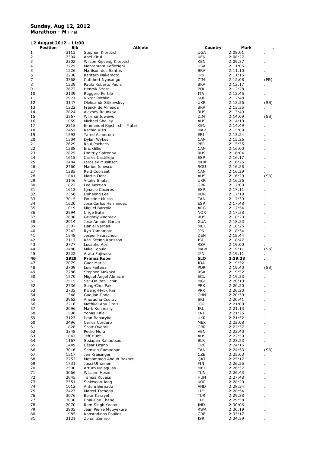# **Sunday, Aug 12, 2012**

**Marathon - M** Final

| 12 August 2012 - 11:00 |              |                                                  |                          |                    |      |  |
|------------------------|--------------|--------------------------------------------------|--------------------------|--------------------|------|--|
| <b>Position</b>        | <b>Bib</b>   | Athlete                                          | Country                  | Mark               |      |  |
| 1                      | 3113         | Stephen Kiprotich                                | UGA                      | 2:08:01            |      |  |
| 2                      | 2304         | Abel Kirui                                       | <b>KEN</b>               | 2:08:27            |      |  |
| 3<br>4                 | 2302<br>3225 | Wilson Kipsang Kiprotich<br>Mebrahtom Keflezighi | KEN                      | 2:09:37            |      |  |
| 5                      | 1226         | Marilson dos Santos                              | <b>USA</b><br><b>BRA</b> | 2:11:06<br>2:11:10 |      |  |
| 6                      | 2230         | Kentaro Nakamoto                                 | <b>JPN</b>               | 2:11:16            |      |  |
| 7                      | 3368         | Cuthbert Nyasango                                | ZIM                      | 2:12:08            | (PB) |  |
| 8                      | 1229         | Paulo Roberto Paula                              | <b>BRA</b>               | 2:12:17            |      |  |
| 9                      | 2672         | Henryk Szost                                     | POL                      | 2:12:28            |      |  |
| 10                     | 2139         | Ruggero Pertile                                  | ITA                      | 2:12:45            |      |  |
| 11                     | 2971         | Viktor Röthlin                                   | SUI                      | 2:12:48            |      |  |
| 12                     | 3147         | Oleksandr Sitkovskyy                             | <b>UKR</b>               | 2:12:56            | (SB) |  |
| 13                     | 1222<br>2824 | Franck de Almeida                                | <b>BRA</b><br><b>RUS</b> | 2:13:35            |      |  |
| 14<br>15               | 3367         | Aleksey Reunkov<br>Wirimai Juwawo                | ZIM                      | 2:13:49<br>2:14:09 | (SB) |  |
| 16                     | 1059         | Michael Shelley                                  | AUS                      | 2:14:10            |      |  |
| 17                     | 2315         | Emmanuel Kipchirchir Mutai                       | KEN                      | 2:14:49            |      |  |
| 18                     | 2457         | Rachid Kisri                                     | <b>MAR</b>               | 2:15:09            |      |  |
| 19                     | 1593         | Yared Asmerom                                    | ERI                      | 2:15:24            |      |  |
| 20                     | 1304         | Dylan Wykes                                      | CAN                      | 2:15:26            |      |  |
| 21                     | 2629         | Raúl Pacheco                                     | <b>PER</b>               | 2:15:35            |      |  |
| 22                     | 1288         | <b>Eric Gillis</b>                               | CAN                      | 2:16:00            |      |  |
| 23<br>24               | 2825<br>1615 | <b>Dmitriy Safronov</b><br>Carles Castillejo     | <b>RUS</b><br><b>ESP</b> | 2:16:04<br>2:16:17 |      |  |
| 25                     | 2484         | Iaroslav Musinschi                               | MDA                      | 2:16:25            |      |  |
| 26                     | 2760         | Marius Ionescu                                   | <b>ROU</b>               | 2:16:28            |      |  |
| 27                     | 1285         | <b>Reid Coolsaet</b>                             | CAN                      | 2:16:29            |      |  |
| 28                     | 1041         | Martin Dent                                      | AUS                      | 2:16:29            | (SB) |  |
| 29                     | 3146         | Vitaliy Shafar                                   | UKR                      | 2:16:36            |      |  |
| 30                     | 1822         | Lee Merrien                                      | GBR                      | 2:17:00            |      |  |
| 31                     | 1613         | Ignacio Cáceres                                  | <b>ESP</b>               | 2:17:11            |      |  |
| 32                     | 2358         | Duhaeng Lee                                      | <b>KOR</b>               | 2:17:19            |      |  |
| 33<br>34               | 3015<br>1620 | <b>Faustine Mussa</b><br>José Carlos Hernández   | TAN<br><b>ESP</b>        | 2:17:39<br>2:17:48 |      |  |
| 35                     | 1019         | Miguel Barzola                                   | ARG                      | 2:17:54            |      |  |
| 36                     | 2594         | Urige Buta                                       | <b>NOR</b>               | 2:17:58            |      |  |
| 37                     | 2800         | Grigoriy Andreev                                 | <b>RUS</b>               | 2:18:20            |      |  |
| 38                     | 2014         | José Amado García                                | GUA                      | 2:18:23            |      |  |
| 39                     | 2507         | Daniel Vargas                                    | MEX                      | 2:18:26            |      |  |
| 40                     | 2242         | Ryo Yamamoto                                     | <b>JPN</b>               | 2:18:34            |      |  |
| 41                     | 1548         | Jesper Faurschou                                 | DEN                      | 2:18:44            |      |  |
| 42                     | 2117         | Kári Steinn Karlsson                             | ISL                      | 2:18:47            |      |  |
| 43<br>44               | 2777<br>2480 | Lusapho April<br>Mike Tebulo                     | <b>RSA</b><br>MAW        | 2:19:00<br>2:19:11 | (SB) |  |
| 45                     | 2222         | Arata Fujiwara                                   | <b>JPN</b>               | 2:19:11            |      |  |
| 46                     | 2929         | Primož Kobe                                      | <b>SLO</b>               | 2:19:28            |      |  |
| 47                     | 2079         | <b>Guor Marial</b>                               | IOA                      | 2:19:32            |      |  |
| 48                     | 2709         | Luís Feiteira                                    | <b>POR</b>               | 2:19:40            | (SB) |  |
| 49                     | 2786         | Stephen Mokoka                                   | <b>RSA</b>               | 2:19:52            |      |  |
| 50                     | 1570         | Miguel Angel Almachi                             | ECU                      | 2:19:53            |      |  |
| 51                     | 2515         | Ser-Od Bat-Ochir                                 | MGL                      | 2:20:10            |      |  |
| 52<br>53               | 2736<br>2735 | Song-Chol Pak<br>Kwang-Hyok Kim                  | <b>PRK</b><br><b>PRK</b> | 2:20:20<br>2:20:20 |      |  |
| 54                     | 1348         | Guojian Dong                                     | <b>CHN</b>               | 2:20:39            |      |  |
| 55                     | 2962         | Anuradha Cooray                                  | SRI                      | 2:20:41            |      |  |
| 56                     | 2216         | Methkal Abu Drais                                | <b>JOR</b>               | 2:21:00            |      |  |
| 57                     | 2096         | Mark Kenneally                                   | IRL                      | 2:21:13            |      |  |
| 58                     | 1596         | Yonas Kifle                                      | ERI                      | 2:21:25            |      |  |
| 59                     | 3123         | Ivan Babarvka                                    | <b>UKR</b>               | 2:21:52            |      |  |
| 60                     | 2496<br>1828 | Carlos Cordero<br>Scott Overall                  | <b>MEX</b><br><b>GBR</b> | 2:22:08            |      |  |
| 61<br>62               | 3348         | Pedro Mora                                       | <b>VEN</b>               | 2:22:37<br>2:22:40 |      |  |
| 63                     | 1047         | Jeff Hunt                                        | <b>AUS</b>               | 2:22:59            |      |  |
| 64                     | 1167         | Stsiapan Rahautsou                               | <b>BLR</b>               | 2:23:23            |      |  |
| 65                     | 1449         | César Lizano                                     | <b>CRC</b>               | 2:24:16            |      |  |
| 66                     | 3016         | Samson Ramadhani                                 | TAN                      | 2:24:53            | (SB) |  |
| 67                     | 1517         | Jan Kreisinger                                   | <b>CZE</b>               | 2:25:03            |      |  |
| 68                     | 2753         | Mohammed Abduh Bakhet                            | QAT                      | 2:25:17            |      |  |
| 69                     | 1731         | Jussi Utriainen                                  | FIN                      | 2:26:25            |      |  |
| 70<br>71               | 2500<br>3066 | Arturo Malaguias<br>Wissem Hosni                 | <b>MEX</b><br><b>TUN</b> | 2:26:37<br>2:26:43 |      |  |
| 72                     | 2045         | Tamás Kovács                                     | <b>HUN</b>               | 2:27:48            |      |  |
| 73                     | 2351         | Sinkweon Jang                                    | <b>KOR</b>               | 2:28:20            |      |  |
| 74                     | 1012         | Antoni Bernadó                                   | <b>AND</b>               | 2:28:34            |      |  |
| 75                     | 2423         | Marcel Tschopp                                   | ЦE                       | 2:28:54            |      |  |
| 76                     | 3076         | Bekir Karayel                                    | <b>TUR</b>               | 2:29:38            |      |  |
| 77                     | 3030         | Chia-Che Chang                                   | <b>TPE</b>               | 2:29:58            |      |  |
| 78                     | 2070         | Ram Singh Yadav                                  | IND                      | 2:30:06            |      |  |
| 79<br>80               | 2905<br>1985 | Jean Pierre Mvuyekure<br>Konstadínos Poúlios     | <b>RWA</b><br>GRE        | 2:30:19<br>2:33:17 |      |  |
| 81                     | 2121         | Zohar Zemiro                                     | ISR                      | 2:34:59            |      |  |